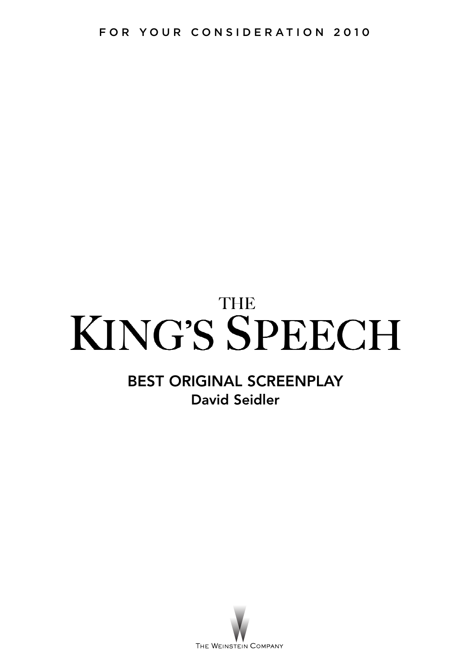# **THE** KING'S SPEECH

# **BEST ORIGINAL SCREENPLAY David Seidler**

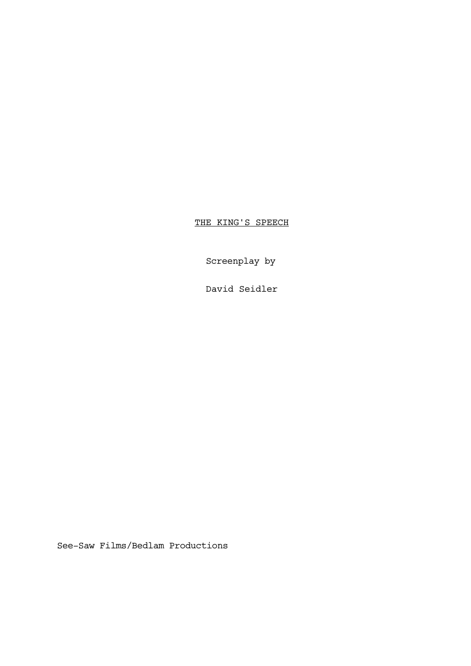THE KING'S SPEECH

Screenplay by

David Seidler

See-Saw Films/Bedlam Productions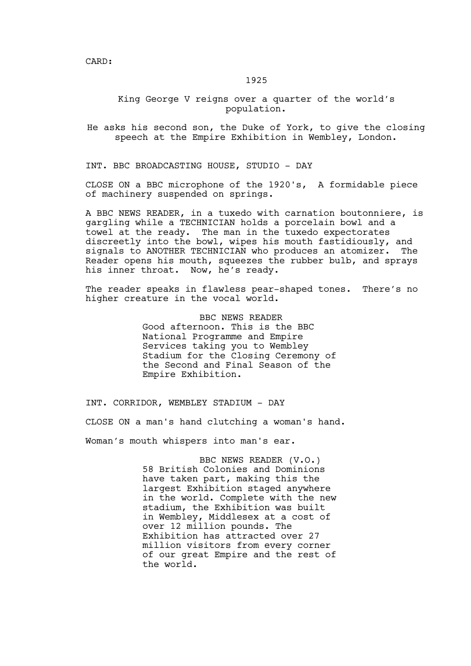# 1925

# King George V reigns over a quarter of the world's population.

He asks his second son, the Duke of York, to give the closing speech at the Empire Exhibition in Wembley, London.

INT. BBC BROADCASTING HOUSE, STUDIO - DAY

CLOSE ON a BBC microphone of the 1920's, A formidable piece of machinery suspended on springs.

A BBC NEWS READER, in a tuxedo with carnation boutonniere, is gargling while a TECHNICIAN holds a porcelain bowl and a towel at the ready. The man in the tuxedo expectorates discreetly into the bowl, wipes his mouth fastidiously, and signals to ANOTHER TECHNICIAN who produces an atomizer. The Reader opens his mouth, squeezes the rubber bulb, and sprays his inner throat. Now, he's ready.

The reader speaks in flawless pear-shaped tones. There's no higher creature in the vocal world.

> BBC NEWS READER Good afternoon. This is the BBC National Programme and Empire Services taking you to Wembley Stadium for the Closing Ceremony of the Second and Final Season of the Empire Exhibition.

INT. CORRIDOR, WEMBLEY STADIUM - DAY

CLOSE ON a man's hand clutching a woman's hand.

Woman's mouth whispers into man's ear.

BBC NEWS READER (V.O.) 58 British Colonies and Dominions have taken part, making this the largest Exhibition staged anywhere in the world. Complete with the new stadium, the Exhibition was built in Wembley, Middlesex at a cost of over 12 million pounds. The Exhibition has attracted over 27 million visitors from every corner of our great Empire and the rest of the world.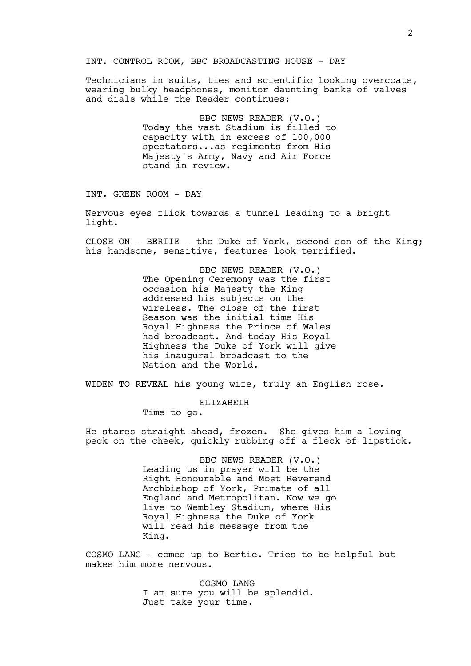#### INT. CONTROL ROOM, BBC BROADCASTING HOUSE - DAY

Technicians in suits, ties and scientific looking overcoats, wearing bulky headphones, monitor daunting banks of valves and dials while the Reader continues:

> BBC NEWS READER (V.O.) Today the vast Stadium is filled to capacity with in excess of 100,000 spectators...as regiments from His Majesty's Army, Navy and Air Force stand in review.

INT. GREEN ROOM - DAY

Nervous eyes flick towards a tunnel leading to a bright light.

CLOSE ON - BERTIE - the Duke of York, second son of the King; his handsome, sensitive, features look terrified.

> BBC NEWS READER (V.O.) The Opening Ceremony was the first occasion his Majesty the King addressed his subjects on the wireless. The close of the first Season was the initial time His Royal Highness the Prince of Wales had broadcast. And today His Royal Highness the Duke of York will give his inaugural broadcast to the Nation and the World.

WIDEN TO REVEAL his young wife, truly an English rose.

ELIZABETH

Time to go.

He stares straight ahead, frozen. She gives him a loving peck on the cheek, quickly rubbing off a fleck of lipstick.

> BBC NEWS READER (V.O.) Leading us in prayer will be the Right Honourable and Most Reverend Archbishop of York, Primate of all England and Metropolitan. Now we go live to Wembley Stadium, where His Royal Highness the Duke of York will read his message from the King.

COSMO LANG - comes up to Bertie. Tries to be helpful but makes him more nervous.

> COSMO LANG I am sure you will be splendid. Just take your time.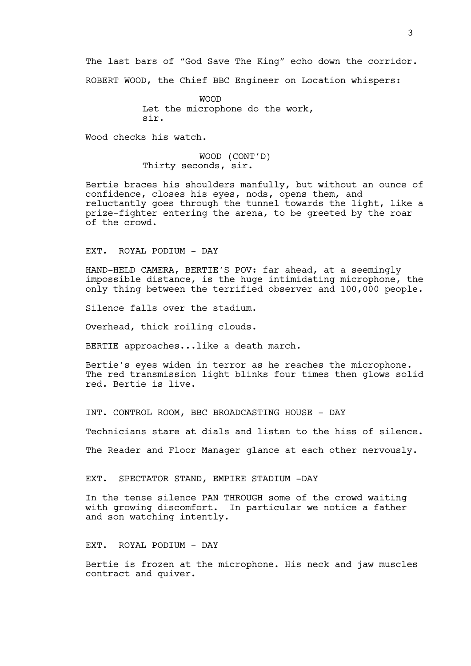The last bars of "God Save The King" echo down the corridor.

ROBERT WOOD, the Chief BBC Engineer on Location whispers:

WOOD Let the microphone do the work, sir.

Wood checks his watch.

WOOD (CONT'D) Thirty seconds, sir.

Bertie braces his shoulders manfully, but without an ounce of confidence, closes his eyes, nods, opens them, and reluctantly goes through the tunnel towards the light, like a prize-fighter entering the arena, to be greeted by the roar of the crowd.

EXT. ROYAL PODIUM - DAY

HAND-HELD CAMERA, BERTIE'S POV: far ahead, at a seemingly impossible distance, is the huge intimidating microphone, the only thing between the terrified observer and 100,000 people.

Silence falls over the stadium.

Overhead, thick roiling clouds.

BERTIE approaches...like a death march.

Bertie's eyes widen in terror as he reaches the microphone. The red transmission light blinks four times then glows solid red. Bertie is live.

INT. CONTROL ROOM, BBC BROADCASTING HOUSE - DAY

Technicians stare at dials and listen to the hiss of silence.

The Reader and Floor Manager glance at each other nervously.

EXT. SPECTATOR STAND, EMPIRE STADIUM -DAY

In the tense silence PAN THROUGH some of the crowd waiting with growing discomfort. In particular we notice a father and son watching intently.

EXT. ROYAL PODIUM - DAY

Bertie is frozen at the microphone. His neck and jaw muscles contract and quiver.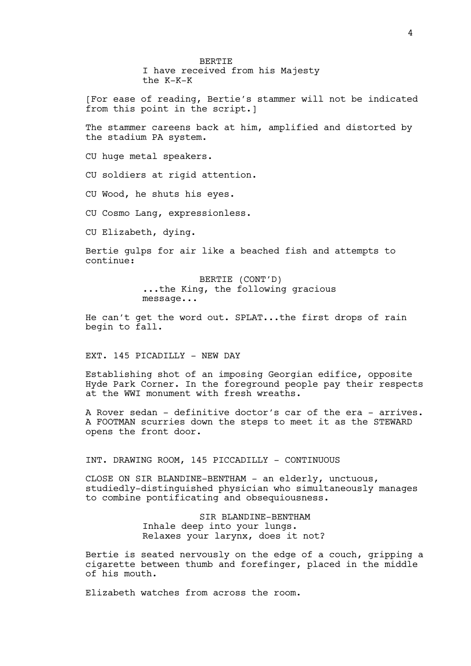BERTIE I have received from his Majesty the K-K-K

[For ease of reading, Bertie's stammer will not be indicated from this point in the script.]

The stammer careens back at him, amplified and distorted by the stadium PA system.

CU huge metal speakers.

CU soldiers at rigid attention.

CU Wood, he shuts his eyes.

CU Cosmo Lang, expressionless.

CU Elizabeth, dying.

Bertie gulps for air like a beached fish and attempts to continue:

> BERTIE (CONT'D) ...the King, the following gracious message...

He can't get the word out. SPLAT...the first drops of rain begin to fall.

EXT. 145 PICADILLY - NEW DAY

Establishing shot of an imposing Georgian edifice, opposite Hyde Park Corner. In the foreground people pay their respects at the WWI monument with fresh wreaths.

A Rover sedan - definitive doctor's car of the era - arrives. A FOOTMAN scurries down the steps to meet it as the STEWARD opens the front door.

INT. DRAWING ROOM, 145 PICCADILLY - CONTINUOUS

CLOSE ON SIR BLANDINE-BENTHAM - an elderly, unctuous, studiedly-distinguished physician who simultaneously manages to combine pontificating and obsequiousness.

> SIR BLANDINE-BENTHAM Inhale deep into your lungs. Relaxes your larynx, does it not?

Bertie is seated nervously on the edge of a couch, gripping a cigarette between thumb and forefinger, placed in the middle of his mouth.

Elizabeth watches from across the room.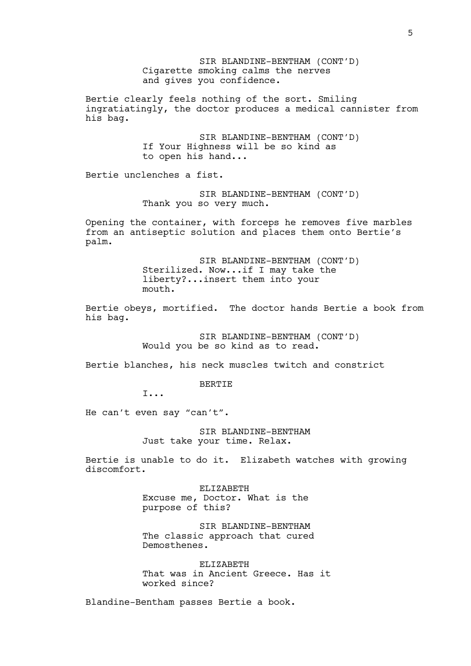SIR BLANDINE-BENTHAM (CONT'D) Cigarette smoking calms the nerves and gives you confidence. Bertie clearly feels nothing of the sort. Smiling ingratiatingly, the doctor produces a medical cannister from his bag. SIR BLANDINE-BENTHAM (CONT'D) If Your Highness will be so kind as to open his hand... Bertie unclenches a fist. SIR BLANDINE-BENTHAM (CONT'D) Thank you so very much. Opening the container, with forceps he removes five marbles from an antiseptic solution and places them onto Bertie's palm. SIR BLANDINE-BENTHAM (CONT'D) Sterilized. Now...if I may take the liberty?...insert them into your mouth. Bertie obeys, mortified. The doctor hands Bertie a book from his bag. SIR BLANDINE-BENTHAM (CONT'D) Would you be so kind as to read. Bertie blanches, his neck muscles twitch and constrict BERTIE I... He can't even say "can't". SIR BLANDINE-BENTHAM Just take your time. Relax. Bertie is unable to do it. Elizabeth watches with growing discomfort. ELIZABETH Excuse me, Doctor. What is the purpose of this? SIR BLANDINE-BENTHAM The classic approach that cured Demosthenes. ELIZABETH That was in Ancient Greece. Has it

worked since? Blandine-Bentham passes Bertie a book.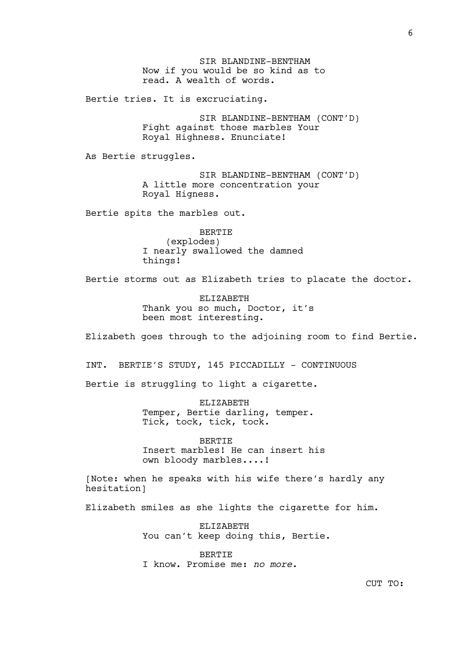SIR BLANDINE-BENTHAM Now if you would be so kind as to read. A wealth of words.

Bertie tries. It is excruciating.

SIR BLANDINE-BENTHAM (CONT'D) Fight against those marbles Your Royal Highness. Enunciate!

As Bertie struggles.

SIR BLANDINE-BENTHAM (CONT'D) A little more concentration your Royal Higness.

Bertie spits the marbles out.

BERTIE (explodes) I nearly swallowed the damned things!

Bertie storms out as Elizabeth tries to placate the doctor.

ELIZABETH Thank you so much, Doctor, it's been most interesting.

Elizabeth goes through to the adjoining room to find Bertie.

INT. BERTIE'S STUDY, 145 PICCADILLY - CONTINUOUS

Bertie is struggling to light a cigarette.

ELIZABETH Temper, Bertie darling, temper. Tick, tock, tick, tock.

**BERTIE** Insert marbles! He can insert his own bloody marbles....!

[Note: when he speaks with his wife there's hardly any hesitation]

Elizabeth smiles as she lights the cigarette for him.

ELIZABETH You can't keep doing this, Bertie.

BERTIE I know. Promise me: *no more*.

CUT TO: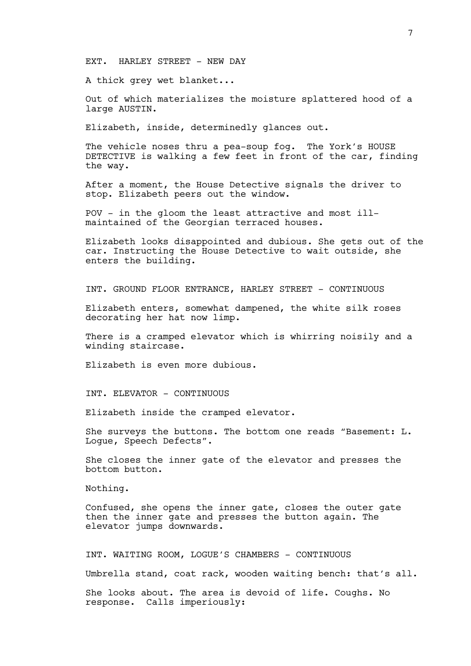#### EXT. HARLEY STREET - NEW DAY

A thick grey wet blanket...

Out of which materializes the moisture splattered hood of a large AUSTIN.

Elizabeth, inside, determinedly glances out.

The vehicle noses thru a pea-soup fog. The York's HOUSE DETECTIVE is walking a few feet in front of the car, finding the way.

After a moment, the House Detective signals the driver to stop. Elizabeth peers out the window.

POV - in the gloom the least attractive and most illmaintained of the Georgian terraced houses.

Elizabeth looks disappointed and dubious. She gets out of the car. Instructing the House Detective to wait outside, she enters the building.

INT. GROUND FLOOR ENTRANCE, HARLEY STREET - CONTINUOUS

Elizabeth enters, somewhat dampened, the white silk roses decorating her hat now limp.

There is a cramped elevator which is whirring noisily and a winding staircase.

Elizabeth is even more dubious.

INT. ELEVATOR - CONTINUOUS

Elizabeth inside the cramped elevator.

She surveys the buttons. The bottom one reads "Basement: L. Logue, Speech Defects".

She closes the inner gate of the elevator and presses the bottom button.

Nothing.

Confused, she opens the inner gate, closes the outer gate then the inner gate and presses the button again. The elevator jumps downwards.

INT. WAITING ROOM, LOGUE'S CHAMBERS - CONTINUOUS

Umbrella stand, coat rack, wooden waiting bench: that's all.

She looks about. The area is devoid of life. Coughs. No response. Calls imperiously: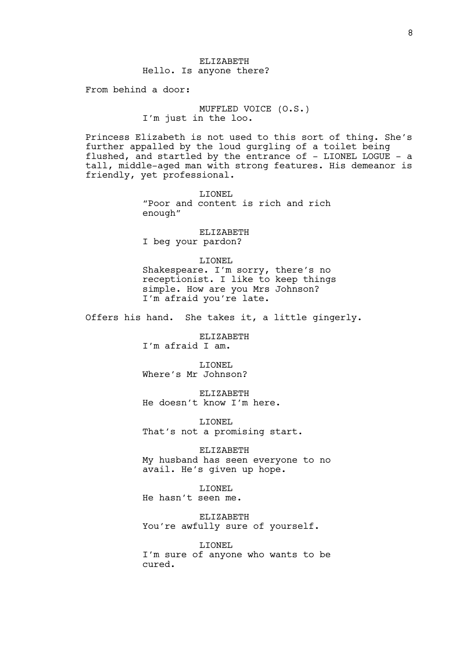From behind a door:

MUFFLED VOICE (O.S.) I'm just in the loo.

Princess Elizabeth is not used to this sort of thing. She's further appalled by the loud gurgling of a toilet being flushed, and startled by the entrance of - LIONEL LOGUE - a tall, middle-aged man with strong features. His demeanor is friendly, yet professional.

> LIONEL "Poor and content is rich and rich enough"

ELIZABETH I beg your pardon?

LIONEL Shakespeare. I'm sorry, there's no receptionist. I like to keep things simple. How are you Mrs Johnson? I'm afraid you're late.

Offers his hand. She takes it, a little gingerly.

ELIZABETH

I'm afraid I am.

LIONEL Where's Mr Johnson?

ELIZABETH He doesn't know I'm here.

LIONEL That's not a promising start.

ELIZABETH My husband has seen everyone to no avail. He's given up hope.

LIONEL He hasn't seen me.

ELIZABETH You're awfully sure of yourself.

LIONEL I'm sure of anyone who wants to be cured.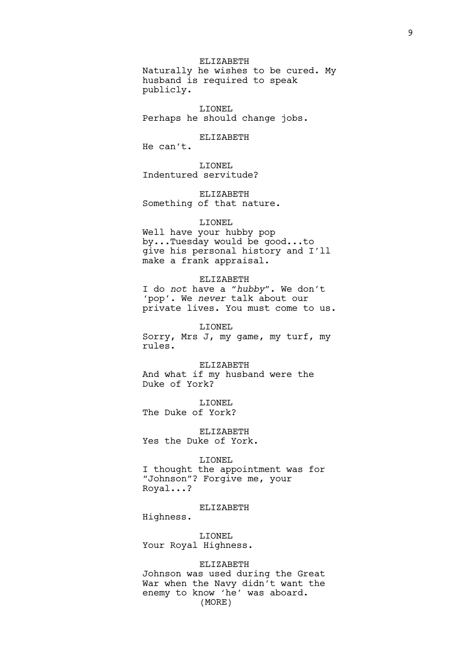ELIZABETH Naturally he wishes to be cured. My husband is required to speak publicly.

LIONEL Perhaps he should change jobs.

# ELIZABETH

He can't.

LIONEL Indentured servitude?

ELIZABETH Something of that nature.

# LIONEL

Well have your hubby pop by...Tuesday would be good...to give his personal history and I'll make a frank appraisal.

#### ELIZABETH

I do *not* have a "*hubby*". We don't 'pop'. We *never* talk about our private lives. You must come to us.

LIONEL

Sorry, Mrs J, my game, my turf, my rules.

ELIZABETH And what if my husband were the Duke of York?

LIONEL The Duke of York?

ELIZABETH Yes the Duke of York.

# LIONEL

I thought the appointment was for "Johnson"? Forgive me, your Royal...?

# ELIZABETH

Highness.

LIONEL Your Royal Highness.

#### ELIZABETH

Johnson was used during the Great War when the Navy didn't want the enemy to know 'he' was aboard. (MORE)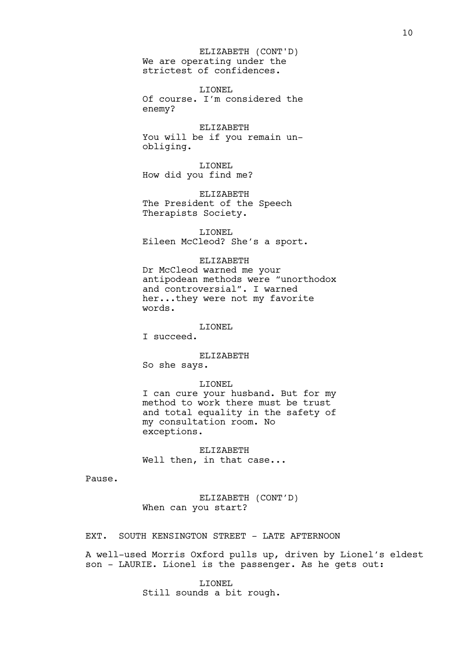We are operating under the strictest of confidences. ELIZABETH (CONT'D)

LIONEL Of course. I'm considered the enemy?

ELIZABETH You will be if you remain unobliging.

LIONEL How did you find me?

ELIZABETH The President of the Speech Therapists Society.

LIONEL Eileen McCleod? She's a sport.

#### ELIZABETH

Dr McCleod warned me your antipodean methods were "unorthodox and controversial". I warned her...they were not my favorite words.

LIONEL

I succeed.

ELIZABETH

So she says.

#### LIONEL

I can cure your husband. But for my method to work there must be trust and total equality in the safety of my consultation room. No exceptions.

ELIZABETH Well then, in that case...

Pause.

ELIZABETH (CONT'D) When can you start?

EXT. SOUTH KENSINGTON STREET - LATE AFTERNOON

A well-used Morris Oxford pulls up, driven by Lionel's eldest son - LAURIE. Lionel is the passenger. As he gets out:

> LIONEL Still sounds a bit rough.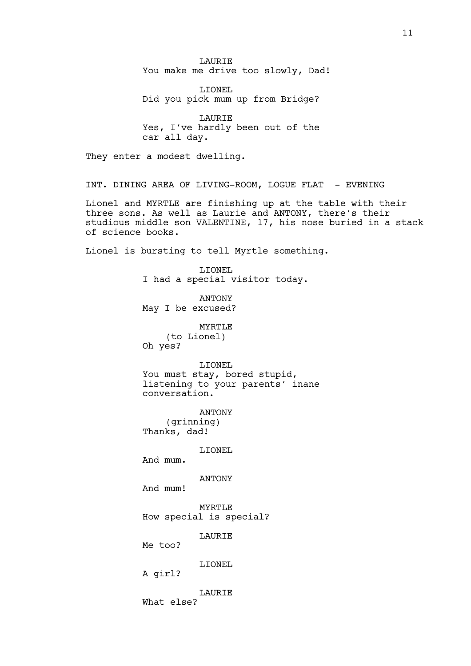LAURIE You make me drive too slowly, Dad! LIONEL Did you pick mum up from Bridge? LAURIE Yes, I've hardly been out of the car all day. They enter a modest dwelling. INT. DINING AREA OF LIVING-ROOM, LOGUE FLAT - EVENING Lionel and MYRTLE are finishing up at the table with their three sons. As well as Laurie and ANTONY, there's their studious middle son VALENTINE, 17, his nose buried in a stack of science books. Lionel is bursting to tell Myrtle something. LIONEL I had a special visitor today. ANTONY May I be excused? MYRTLE (to Lionel) Oh yes? LIONEL You must stay, bored stupid, listening to your parents' inane conversation. ANTONY (grinning) Thanks, dad! LIONEL And mum. ANTONY And mum! MYRTLE How special is special? **LAURIE** Me too? LIONEL A girl? LAURIE What else?

11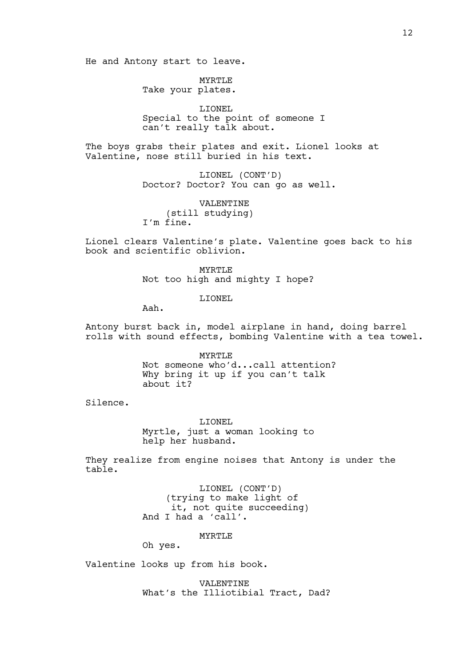He and Antony start to leave.

MYRTLE Take your plates.

LIONEL Special to the point of someone I can't really talk about.

The boys grabs their plates and exit. Lionel looks at Valentine, nose still buried in his text.

> LIONEL (CONT'D) Doctor? Doctor? You can go as well.

VALENTINE (still studying) I'm fine.

Lionel clears Valentine's plate. Valentine goes back to his book and scientific oblivion.

> MYRTLE Not too high and mighty I hope?

> > LIONEL

Aah.

Antony burst back in, model airplane in hand, doing barrel rolls with sound effects, bombing Valentine with a tea towel.

> MYRTLE Not someone who'd...call attention? Why bring it up if you can't talk about it?

Silence.

LIONEL Myrtle, just a woman looking to help her husband.

They realize from engine noises that Antony is under the table.

> LIONEL (CONT'D) (trying to make light of it, not quite succeeding) And I had a 'call'.

> > MYRTLE<sup>®</sup>

Oh yes.

Valentine looks up from his book.

VALENTINE What's the Illiotibial Tract, Dad?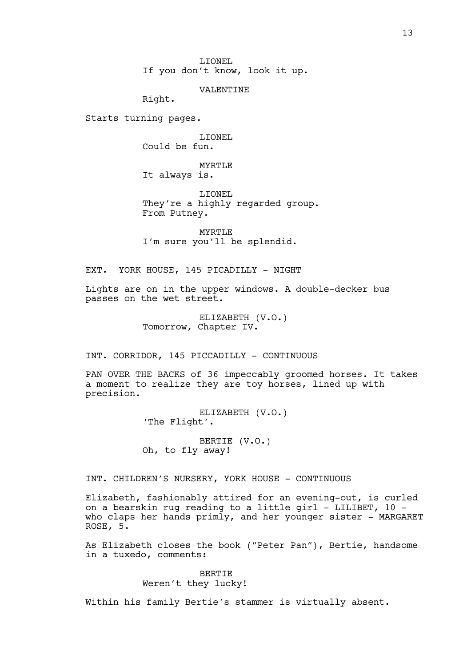LIONEL If you don't know, look it up.

VALENTINE

Right.

Starts turning pages.

LIONEL Could be fun.

MYRTLE It always is.

LIONEL They're a highly regarded group. From Putney.

MYRTLE I'm sure you'll be splendid.

EXT. YORK HOUSE, 145 PICADILLY - NIGHT

Lights are on in the upper windows. A double-decker bus passes on the wet street.

> ELIZABETH (V.O.) Tomorrow, Chapter IV.

INT. CORRIDOR, 145 PICCADILLY - CONTINUOUS

PAN OVER THE BACKS of 36 impeccably groomed horses. It takes a moment to realize they are toy horses, lined up with precision.

> ELIZABETH (V.O.) 'The Flight'.

BERTIE (V.O.) Oh, to fly away!

INT. CHILDREN'S NURSERY, YORK HOUSE - CONTINUOUS

Elizabeth, fashionably attired for an evening-out, is curled on a bearskin rug reading to a little girl - LILIBET, 10 who claps her hands primly, and her younger sister - MARGARET ROSE, 5.

As Elizabeth closes the book ("Peter Pan"), Bertie, handsome in a tuxedo, comments:

> BERTIE Weren't they lucky!

Within his family Bertie's stammer is virtually absent.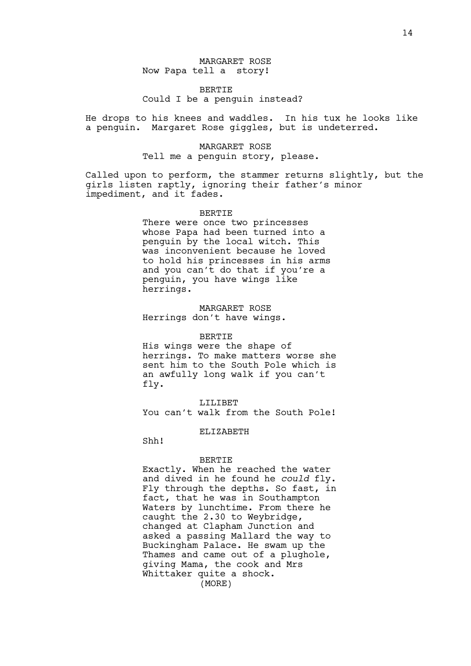# MARGARET ROSE Now Papa tell a story!

# BERTIE Could I be a penguin instead?

He drops to his knees and waddles. In his tux he looks like a penguin. Margaret Rose giggles, but is undeterred.

# MARGARET ROSE Tell me a penguin story, please.

Called upon to perform, the stammer returns slightly, but the girls listen raptly, ignoring their father's minor impediment, and it fades.

#### BERTIE

There were once two princesses whose Papa had been turned into a penguin by the local witch. This was inconvenient because he loved to hold his princesses in his arms and you can't do that if you're a penguin, you have wings like herrings.

#### MARGARET ROSE Herrings don't have wings.

#### BERTIE

His wings were the shape of herrings. To make matters worse she sent him to the South Pole which is an awfully long walk if you can't fly.

LILIBET You can't walk from the South Pole!

# ELIZABETH

Shh!

#### BERTIE

Exactly. When he reached the water and dived in he found he *could* fly. Fly through the depths. So fast, in fact, that he was in Southampton Waters by lunchtime. From there he caught the 2.30 to Weybridge, changed at Clapham Junction and asked a passing Mallard the way to Buckingham Palace. He swam up the Thames and came out of a plughole, giving Mama, the cook and Mrs Whittaker quite a shock. (MORE)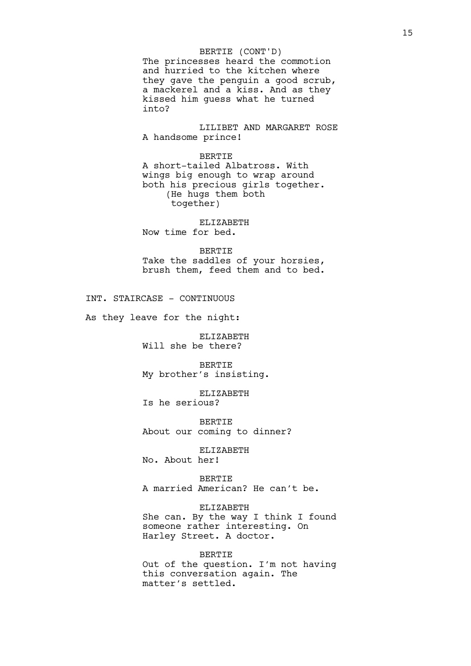#### BERTIE (CONT'D)

The princesses heard the commotion and hurried to the kitchen where they gave the penguin a good scrub, a mackerel and a kiss. And as they kissed him guess what he turned into?

LILIBET AND MARGARET ROSE A handsome prince!

BERTIE A short-tailed Albatross. With wings big enough to wrap around both his precious girls together. (He hugs them both together)

ELIZABETH Now time for bed.

BERTIE Take the saddles of your horsies, brush them, feed them and to bed.

INT. STAIRCASE - CONTINUOUS

As they leave for the night:

ELIZABETH Will she be there?

BERTIE My brother's insisting.

ELIZABETH Is he serious?

BERTIE About our coming to dinner?

ELIZABETH No. About her!

BERTIE A married American? He can't be.

# ELIZABETH

She can. By the way I think I found someone rather interesting. On Harley Street. A doctor.

#### BERTIE

Out of the question. I'm not having this conversation again. The matter's settled.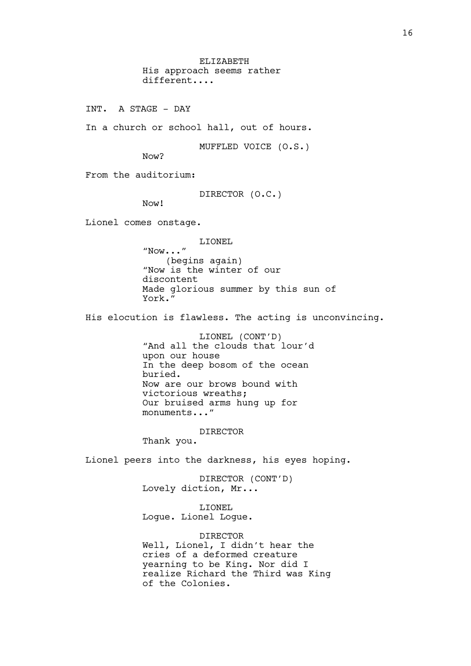ELIZABETH His approach seems rather different....

INT. A STAGE - DAY

In a church or school hall, out of hours.

MUFFLED VOICE (O.S.)

Now?

From the auditorium:

DIRECTOR (O.C.)

Now!

Lionel comes onstage.

LIONEL

"Now..." (begins again) "Now is the winter of our discontent Made glorious summer by this sun of York."

His elocution is flawless. The acting is unconvincing.

LIONEL (CONT'D) "And all the clouds that lour'd upon our house In the deep bosom of the ocean buried. Now are our brows bound with victorious wreaths; Our bruised arms hung up for monuments..."

DIRECTOR

Thank you.

Lionel peers into the darkness, his eyes hoping.

DIRECTOR (CONT'D) Lovely diction, Mr...

LIONEL Logue. Lionel Logue.

DIRECTOR Well, Lionel, I didn't hear the cries of a deformed creature yearning to be King. Nor did I realize Richard the Third was King of the Colonies.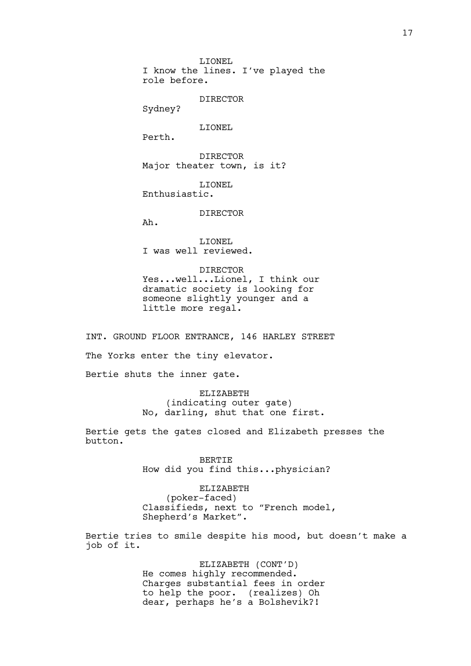LIONEL I know the lines. I've played the role before.

DIRECTOR

Sydney?

LIONEL

Perth.

DIRECTOR Major theater town, is it?

LIONEL Enthusiastic.

DIRECTOR

Ah.

LIONEL I was well reviewed.

DIRECTOR Yes...well...Lionel, I think our dramatic society is looking for someone slightly younger and a little more regal.

INT. GROUND FLOOR ENTRANCE, 146 HARLEY STREET

The Yorks enter the tiny elevator.

Bertie shuts the inner gate.

ELIZABETH (indicating outer gate) No, darling, shut that one first.

Bertie gets the gates closed and Elizabeth presses the button.

> BERTIE How did you find this...physician?

ELIZABETH (poker-faced) Classifieds, next to "French model, Shepherd's Market".

Bertie tries to smile despite his mood, but doesn't make a job of it.

> ELIZABETH (CONT'D) He comes highly recommended. Charges substantial fees in order to help the poor. (realizes) Oh dear, perhaps he's a Bolshevik?!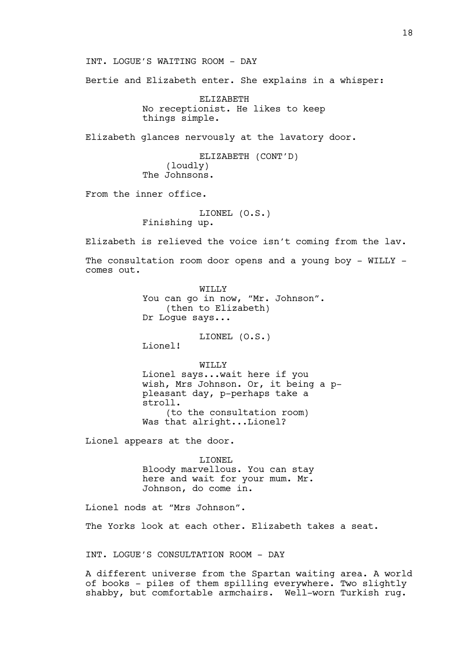INT. LOGUE'S WAITING ROOM - DAY

Bertie and Elizabeth enter. She explains in a whisper:

ELIZABETH No receptionist. He likes to keep things simple.

Elizabeth glances nervously at the lavatory door.

ELIZABETH (CONT'D) (loudly) The Johnsons.

From the inner office.

LIONEL (O.S.) Finishing up.

Elizabeth is relieved the voice isn't coming from the lav.

The consultation room door opens and a young boy - WILLY comes out.

> WILLY You can go in now, "Mr. Johnson". (then to Elizabeth) Dr Logue says...

> > LIONEL (O.S.)

Lionel!

WILLY Lionel says...wait here if you wish, Mrs Johnson. Or, it being a ppleasant day, p-perhaps take a stroll. (to the consultation room) Was that alright...Lionel?

Lionel appears at the door.

LIONEL Bloody marvellous. You can stay here and wait for your mum. Mr. Johnson, do come in.

Lionel nods at "Mrs Johnson".

The Yorks look at each other. Elizabeth takes a seat.

INT. LOGUE'S CONSULTATION ROOM - DAY

A different universe from the Spartan waiting area. A world of books - piles of them spilling everywhere. Two slightly shabby, but comfortable armchairs. Well-worn Turkish rug.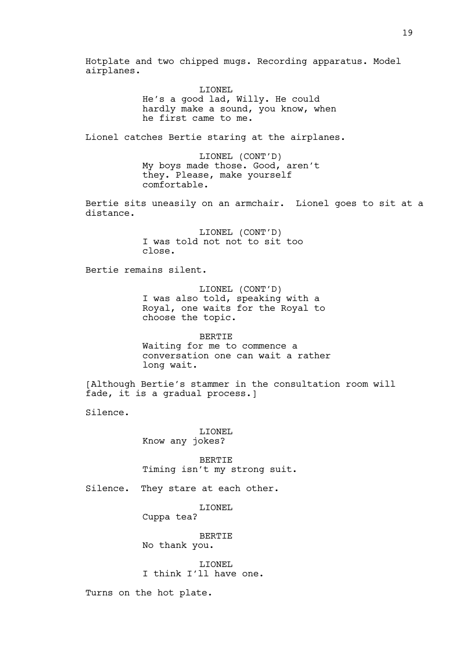Hotplate and two chipped mugs. Recording apparatus. Model airplanes. LIONEL He's a good lad, Willy. He could hardly make a sound, you know, when he first came to me. Lionel catches Bertie staring at the airplanes. LIONEL (CONT'D) My boys made those. Good, aren't they. Please, make yourself comfortable. Bertie sits uneasily on an armchair. Lionel goes to sit at a distance. LIONEL (CONT'D) I was told not not to sit too close. Bertie remains silent. LIONEL (CONT'D) I was also told, speaking with a Royal, one waits for the Royal to choose the topic. BERTIE Waiting for me to commence a conversation one can wait a rather long wait. [Although Bertie's stammer in the consultation room will fade, it is a gradual process.] Silence. LIONEL Know any jokes? BERTIE Timing isn't my strong suit. Silence. They stare at each other. LIONEL Cuppa tea? BERTIE No thank you. LIONEL I think I'll have one. Turns on the hot plate.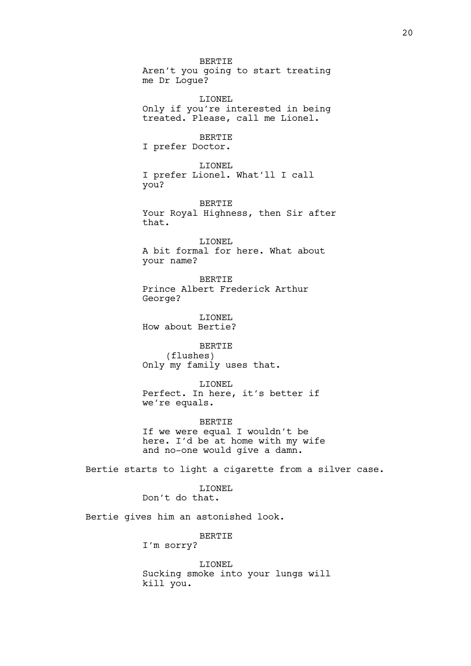BERTIE Aren't you going to start treating me Dr Logue? LIONEL Only if you're interested in being treated. Please, call me Lionel. BERTIE I prefer Doctor. LIONEL I prefer Lionel. What'll I call you? BERTIE Your Royal Highness, then Sir after that. LIONEL A bit formal for here. What about your name? BERTIE Prince Albert Frederick Arthur George? LIONEL How about Bertie? BERTIE (flushes) Only my family uses that. LIONEL Perfect. In here, it's better if we're equals. BERTIE If we were equal I wouldn't be here. I'd be at home with my wife and no-one would give a damn. Bertie starts to light a cigarette from a silver case. LIONEL Don't do that. Bertie gives him an astonished look. BERTIE I'm sorry? LIONEL

Sucking smoke into your lungs will kill you.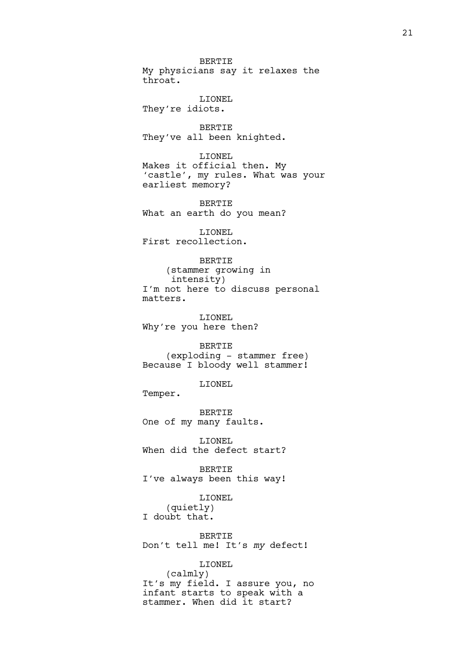BERTIE My physicians say it relaxes the throat.

LIONEL They're idiots.

BERTIE They've all been knighted.

LIONEL Makes it official then. My 'castle', my rules. What was your earliest memory?

BERTIE What an earth do you mean?

LIONEL First recollection.

BERTIE

(stammer growing in intensity) I'm not here to discuss personal matters.

LIONEL Why're you here then?

BERTIE (exploding - stammer free) Because I bloody well stammer!

LIONEL

Temper.

BERTIE One of my many faults.

LIONEL When did the defect start?

BERTIE I've always been this way!

LIONEL (quietly) I doubt that.

BERTIE Don't tell me! It's *my* defect!

LIONEL (calmly) It's my field. I assure you, no infant starts to speak with a stammer. When did it start?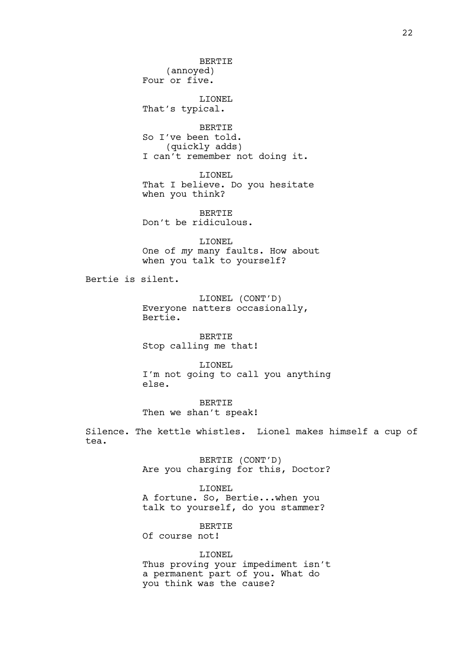BERTIE (annoyed) Four or five. LIONEL That's typical. BERTIE So I've been told.

(quickly adds) I can't remember not doing it.

LIONEL That I believe. Do you hesitate when you think?

BERTIE Don't be ridiculous.

LIONEL One of *my* many faults. How about when you talk to yourself?

Bertie is silent.

LIONEL (CONT'D) Everyone natters occasionally, Bertie.

BERTIE Stop calling me that!

LIONEL I'm not going to call you anything else.

BERTIE Then we shan't speak!

Silence. The kettle whistles. Lionel makes himself a cup of tea.

> BERTIE (CONT'D) Are you charging for this, Doctor?

LIONEL A fortune. So, Bertie...when you talk to yourself, do you stammer?

**BERTIE** Of course not!

LIONEL Thus proving your impediment isn't a permanent part of you. What do you think was the cause?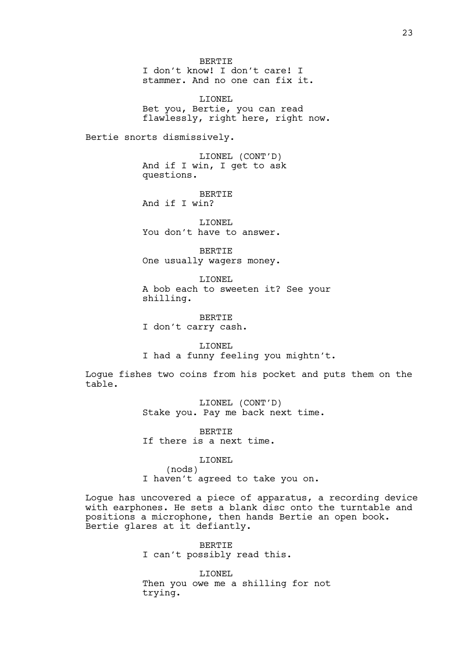BERTIE I don't know! I don't care! I stammer. And no one can fix it.

LIONEL Bet you, Bertie, you can read flawlessly, right here, right now.

Bertie snorts dismissively.

LIONEL (CONT'D) And if I win, I get to ask questions.

BERTIE And if I win?

LIONEL You don't have to answer.

BERTIE One usually wagers money.

LIONEL A bob each to sweeten it? See your shilling.

BERTIE I don't carry cash.

LIONEL I had a funny feeling you mightn't.

Logue fishes two coins from his pocket and puts them on the table.

> LIONEL (CONT'D) Stake you. Pay me back next time.

BERTIE If there is a next time.

LIONEL

(nods) I haven't agreed to take you on.

Logue has uncovered a piece of apparatus, a recording device with earphones. He sets a blank disc onto the turntable and positions a microphone, then hands Bertie an open book. Bertie glares at it defiantly.

> BERTIE I can't possibly read this.

LIONEL Then you owe me a shilling for not trying.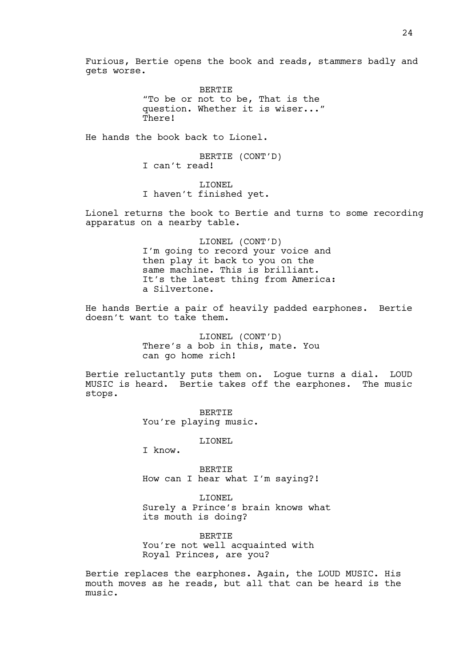Furious, Bertie opens the book and reads, stammers badly and gets worse.

> BERTIE "To be or not to be, That is the question. Whether it is wiser..." There!

He hands the book back to Lionel.

BERTIE (CONT'D) I can't read!

LIONEL I haven't finished yet.

Lionel returns the book to Bertie and turns to some recording apparatus on a nearby table.

> LIONEL (CONT'D) I'm going to record your voice and then play it back to you on the same machine. This is brilliant. It's the latest thing from America: a Silvertone.

He hands Bertie a pair of heavily padded earphones. Bertie doesn't want to take them.

> LIONEL (CONT'D) There's a bob in this, mate. You can go home rich!

Bertie reluctantly puts them on. Logue turns a dial. LOUD MUSIC is heard. Bertie takes off the earphones. The music stops.

> BERTIE You're playing music.

> > LIONEL

I know.

BERTIE How can I hear what I'm saying?!

LIONEL Surely a Prince's brain knows what its mouth is doing?

BERTIE You're not well acquainted with Royal Princes, are you?

Bertie replaces the earphones. Again, the LOUD MUSIC. His mouth moves as he reads, but all that can be heard is the music.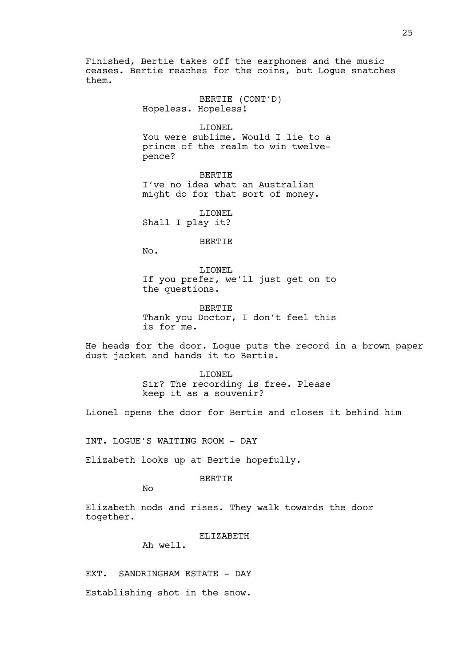Finished, Bertie takes off the earphones and the music ceases. Bertie reaches for the coins, but Logue snatches them.

> BERTIE (CONT'D) Hopeless. Hopeless!

LIONEL You were sublime. Would I lie to a prince of the realm to win twelvepence?

BERTIE I've no idea what an Australian might do for that sort of money.

LIONEL Shall I play it?

#### BERTIE

No.

LIONEL If you prefer, we'll just get on to the questions.

BERTIE Thank you Doctor, I don't feel this is for me.

He heads for the door. Logue puts the record in a brown paper dust jacket and hands it to Bertie.

> LIONEL Sir? The recording is free. Please keep it as a souvenir?

Lionel opens the door for Bertie and closes it behind him

INT. LOGUE'S WAITING ROOM - DAY

Elizabeth looks up at Bertie hopefully.

#### BERTIE

No

Elizabeth nods and rises. They walk towards the door together.

# ELIZABETH

Ah well.

EXT. SANDRINGHAM ESTATE - DAY

Establishing shot in the snow.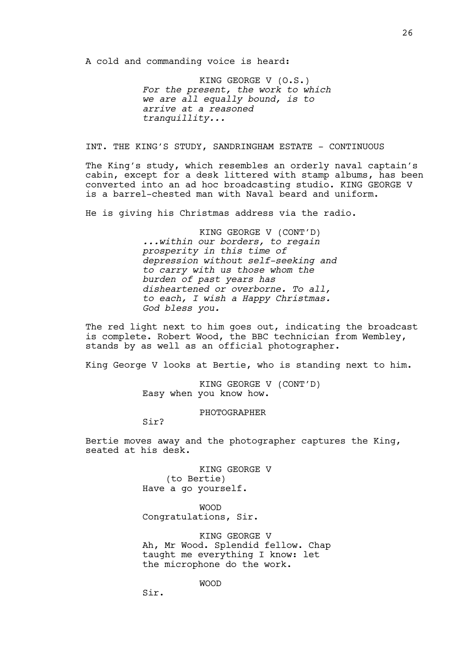A cold and commanding voice is heard:

KING GEORGE V (O.S.) *For the present, the work to which we are all equally bound, is to arrive at a reasoned tranquillity...*

INT. THE KING'S STUDY, SANDRINGHAM ESTATE - CONTINUOUS

The King's study, which resembles an orderly naval captain's cabin, except for a desk littered with stamp albums, has been converted into an ad hoc broadcasting studio. KING GEORGE V is a barrel-chested man with Naval beard and uniform.

He is giving his Christmas address via the radio.

KING GEORGE V (CONT'D) *...within our borders, to regain prosperity in this time of depression without self-seeking and to carry with us those whom the burden of past years has disheartened or overborne. To all, to each, I wish a Happy Christmas. God bless you.*

The red light next to him goes out, indicating the broadcast is complete. Robert Wood, the BBC technician from Wembley, stands by as well as an official photographer.

King George V looks at Bertie, who is standing next to him.

KING GEORGE V (CONT'D) Easy when you know how.

PHOTOGRAPHER

Sir?

Sir.

Bertie moves away and the photographer captures the King, seated at his desk.

> KING GEORGE V (to Bertie) Have a go yourself.

WOOD Congratulations, Sir.

KING GEORGE V Ah, Mr Wood. Splendid fellow. Chap taught me everything I know: let the microphone do the work.

WOOD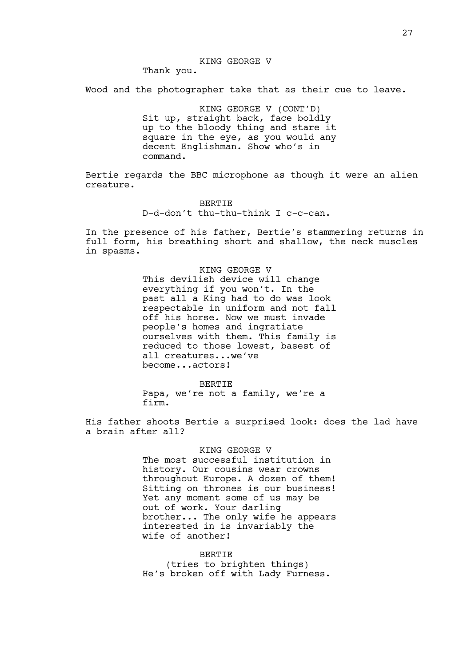#### KING GEORGE V

Thank you.

Wood and the photographer take that as their cue to leave.

KING GEORGE V (CONT'D) Sit up, straight back, face boldly up to the bloody thing and stare it square in the eye, as you would any decent Englishman. Show who's in command.

Bertie regards the BBC microphone as though it were an alien creature.

> BERTIE D-d-don't thu-thu-think I c-c-can.

In the presence of his father, Bertie's stammering returns in full form, his breathing short and shallow, the neck muscles in spasms.

> KING GEORGE V This devilish device will change everything if you won't. In the past all a King had to do was look respectable in uniform and not fall off his horse. Now we must invade people's homes and ingratiate ourselves with them. This family is reduced to those lowest, basest of all creatures...we've become...actors!

> > BERTIE

Papa, we're not a family, we're a firm.

His father shoots Bertie a surprised look: does the lad have a brain after all?

> KING GEORGE V The most successful institution in history. Our cousins wear crowns throughout Europe. A dozen of them! Sitting on thrones is our business! Yet any moment some of us may be out of work. Your darling brother... The only wife he appears interested in is invariably the wife of another!

BERTIE (tries to brighten things) He's broken off with Lady Furness.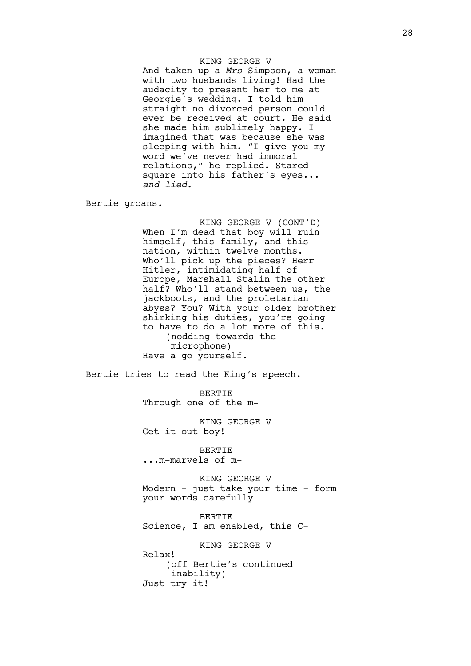### KING GEORGE V

And taken up a *Mrs* Simpson, a woman with two husbands living! Had the audacity to present her to me at Georgie's wedding. I told him straight no divorced person could ever be received at court. He said she made him sublimely happy. I imagined that was because she was sleeping with him. "I give you my word we've never had immoral relations," he replied. Stared square into his father's eyes... *and lied*.

Bertie groans.

KING GEORGE V (CONT'D) When I'm dead that boy will ruin himself, this family, and this nation, within twelve months. Who'll pick up the pieces? Herr Hitler, intimidating half of Europe, Marshall Stalin the other half? Who'll stand between us, the jackboots, and the proletarian abyss? You? With your older brother shirking his duties, you're going to have to do a lot more of this. (nodding towards the microphone) Have a go yourself.

Bertie tries to read the King's speech.

BERTIE Through one of the m-

KING GEORGE V Get it out boy!

BERTIE ...m-marvels of m-

KING GEORGE V Modern - just take your time - form your words carefully

BERTIE Science, I am enabled, this C-

KING GEORGE V Relax! (off Bertie's continued inability) Just try it!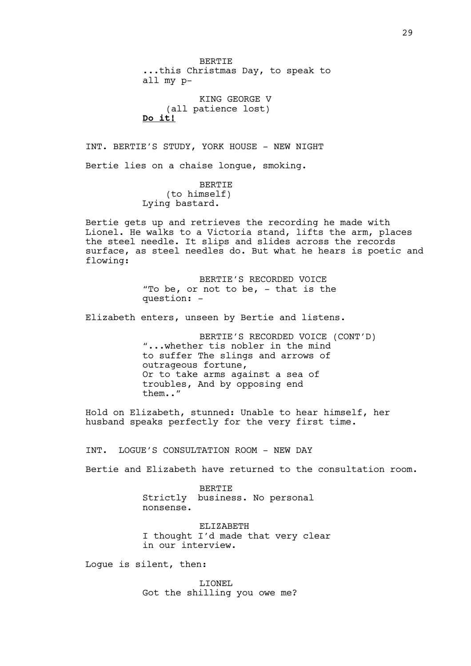BERTIE ...this Christmas Day, to speak to all my p-KING GEORGE V (all patience lost) **Do it!** INT. BERTIE'S STUDY, YORK HOUSE - NEW NIGHT Bertie lies on a chaise longue, smoking. BERTIE (to himself) Lying bastard. Bertie gets up and retrieves the recording he made with Lionel. He walks to a Victoria stand, lifts the arm, places the steel needle. It slips and slides across the records surface, as steel needles do. But what he hears is poetic and flowing: BERTIE'S RECORDED VOICE "To be, or not to be,  $-$  that is the question: - Elizabeth enters, unseen by Bertie and listens. BERTIE'S RECORDED VOICE (CONT'D) "...whether tis nobler in the mind to suffer The slings and arrows of outrageous fortune, Or to take arms against a sea of troubles, And by opposing end them.." Hold on Elizabeth, stunned: Unable to hear himself, her husband speaks perfectly for the very first time. INT. LOGUE'S CONSULTATION ROOM - NEW DAY Bertie and Elizabeth have returned to the consultation room.

> BERTIE Strictly business. No personal nonsense.

ELIZABETH I thought I'd made that very clear in our interview.

Logue is silent, then:

LIONEL Got the shilling you owe me?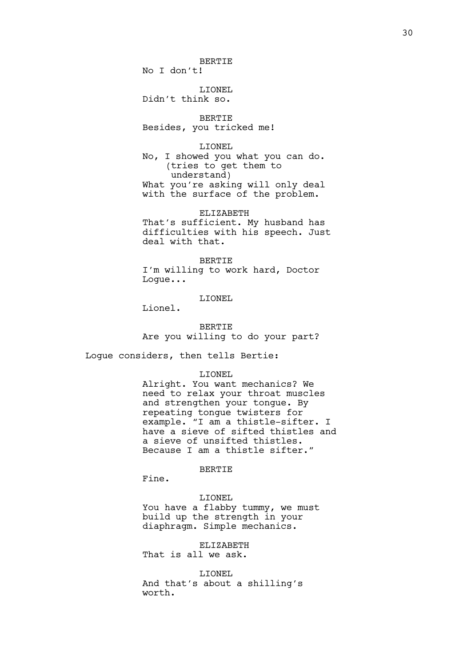BERTIE

No I don't!

LIONEL Didn't think so.

BERTIE Besides, you tricked me!

LIONEL

No, I showed you what you can do. (tries to get them to understand) What you're asking will only deal with the surface of the problem.

ELIZABETH That's sufficient. My husband has difficulties with his speech. Just deal with that.

BERTIE

I'm willing to work hard, Doctor Logue...

LIONEL

Lionel.

**BERTIE** Are you willing to do your part?

Logue considers, then tells Bertie:

LIONEL

Alright. You want mechanics? We need to relax your throat muscles and strengthen your tongue. By repeating tongue twisters for example. "I am a thistle-sifter. I have a sieve of sifted thistles and a sieve of unsifted thistles. Because I am a thistle sifter."

BERTIE

Fine.

LIONEL

You have a flabby tummy, we must build up the strength in your diaphragm. Simple mechanics.

ELIZABETH That is all we ask.

LIONEL And that's about a shilling's worth.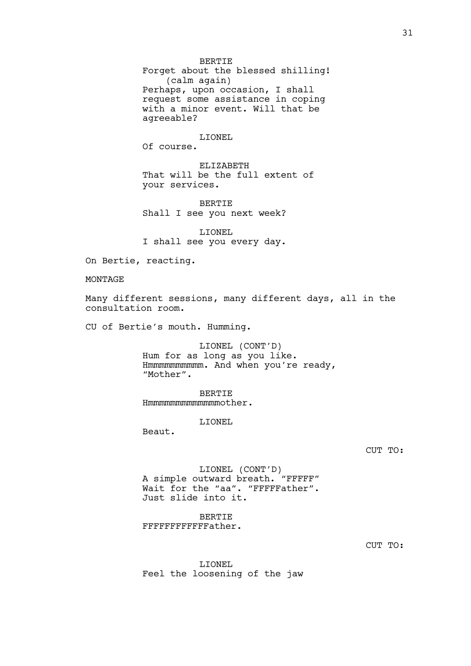BERTIE Forget about the blessed shilling! (calm again) Perhaps, upon occasion, I shall request some assistance in coping with a minor event. Will that be agreeable?

LIONEL Of course.

ELIZABETH That will be the full extent of your services.

BERTIE Shall I see you next week?

LIONEL I shall see you every day.

On Bertie, reacting.

#### MONTAGE

Many different sessions, many different days, all in the consultation room.

CU of Bertie's mouth. Humming.

LIONEL (CONT'D) Hum for as long as you like. Hmmmmmmmmmm. And when you're ready, "Mother".

BERTIE Hmmmmmmmmmmmmmother.

LIONEL

Beaut.

#### CUT TO:

LIONEL (CONT'D) A simple outward breath. "FFFFF" Wait for the "aa". "FFFFFather". Just slide into it.

BERTIE FFFFFFFFFFFFather.

CUT TO:

LIONEL Feel the loosening of the jaw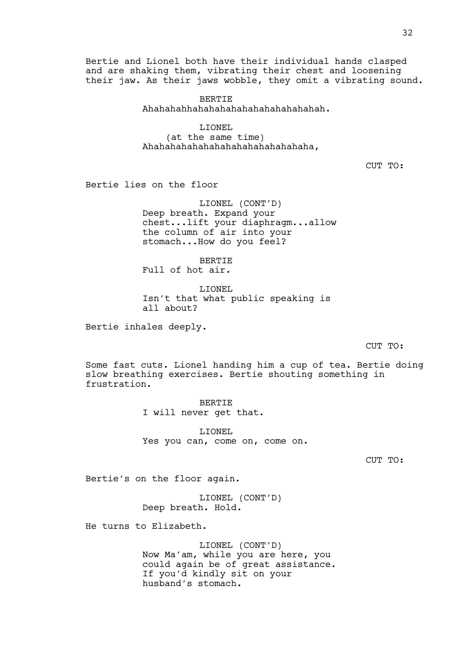Bertie and Lionel both have their individual hands clasped and are shaking them, vibrating their chest and loosening their jaw. As their jaws wobble, they omit a vibrating sound.

> BERTIE Ahahahahhahahahahahahahahahahahah.

LIONEL (at the same time) Ahahahahahahahahahahahahahahaha,

CUT TO:

Bertie lies on the floor

LIONEL (CONT'D) Deep breath. Expand your chest...lift your diaphragm...allow the column of air into your stomach...How do you feel?

BERTIE Full of hot air.

LIONEL Isn't that what public speaking is all about?

Bertie inhales deeply.

CUT TO:

Some fast cuts. Lionel handing him a cup of tea. Bertie doing slow breathing exercises. Bertie shouting something in frustration.

> BERTIE I will never get that.

LIONEL Yes you can, come on, come on.

CUT TO:

Bertie's on the floor again.

LIONEL (CONT'D) Deep breath. Hold.

He turns to Elizabeth.

LIONEL (CONT'D) Now Ma'am, while you are here, you could again be of great assistance. If you'd kindly sit on your husband's stomach.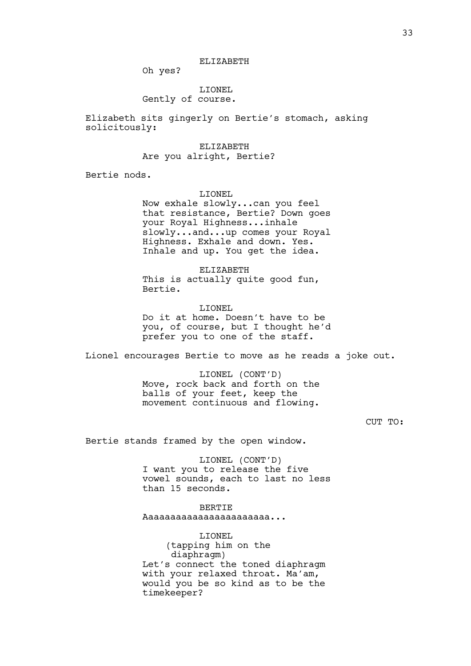Oh yes?

LIONEL

# Gently of course.

Elizabeth sits gingerly on Bertie's stomach, asking solicitously:

ELIZABETH

### Are you alright, Bertie?

Bertie nods.

LIONEL

Now exhale slowly...can you feel that resistance, Bertie? Down goes your Royal Highness...inhale slowly...and...up comes your Royal Highness. Exhale and down. Yes. Inhale and up. You get the idea.

ELIZABETH This is actually quite good fun, Bertie.

LIONEL Do it at home. Doesn't have to be you, of course, but I thought he'd prefer you to one of the staff.

Lionel encourages Bertie to move as he reads a joke out.

LIONEL (CONT'D) Move, rock back and forth on the balls of your feet, keep the movement continuous and flowing.

CUT TO:

Bertie stands framed by the open window.

LIONEL (CONT'D) I want you to release the five vowel sounds, each to last no less than 15 seconds.

BERTIE Aaaaaaaaaaaaaaaaaaaaaaa...

LIONEL (tapping him on the diaphragm) Let's connect the toned diaphragm with your relaxed throat. Ma'am, would you be so kind as to be the timekeeper?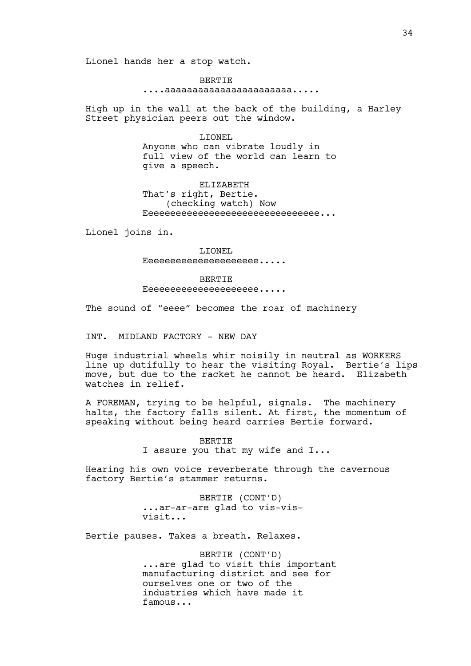Lionel hands her a stop watch.

BERTIE ....aaaaaaaaaaaaaaaaaaaaaaa.....

High up in the wall at the back of the building, a Harley Street physician peers out the window.

> LIONEL Anyone who can vibrate loudly in full view of the world can learn to give a speech.

> ELIZABETH That's right, Bertie. (checking watch) Now Eeeeeeeeeeeeeeeeeeeeeeeeeeeeeeee...

Lionel joins in.

LIONEL Eeeeeeeeeeeeeeeeee.....

BERTIE

Eeeeeeeeeeeeeeeeee.....

The sound of "eeee" becomes the roar of machinery

INT. MIDLAND FACTORY - NEW DAY

Huge industrial wheels whir noisily in neutral as WORKERS line up dutifully to hear the visiting Royal. Bertie's lips move, but due to the racket he cannot be heard. Elizabeth watches in relief.

A FOREMAN, trying to be helpful, signals. The machinery halts, the factory falls silent. At first, the momentum of speaking without being heard carries Bertie forward.

> BERTIE I assure you that my wife and I...

Hearing his own voice reverberate through the cavernous factory Bertie's stammer returns.

> BERTIE (CONT'D) ...ar-ar-are glad to vis-visvisit...

Bertie pauses. Takes a breath. Relaxes.

BERTIE (CONT'D) ...are glad to visit this important manufacturing district and see for ourselves one or two of the industries which have made it famous...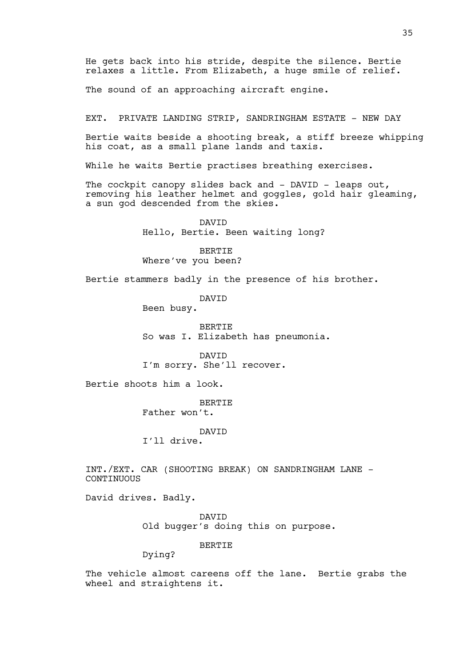35

He gets back into his stride, despite the silence. Bertie relaxes a little. From Elizabeth, a huge smile of relief.

The sound of an approaching aircraft engine.

EXT. PRIVATE LANDING STRIP, SANDRINGHAM ESTATE - NEW DAY

Bertie waits beside a shooting break, a stiff breeze whipping his coat, as a small plane lands and taxis.

While he waits Bertie practises breathing exercises.

The cockpit canopy slides back and - DAVID - leaps out, removing his leather helmet and goggles, gold hair gleaming, a sun god descended from the skies.

> **DAVTD** Hello, Bertie. Been waiting long?

BERTIE Where've you been?

Bertie stammers badly in the presence of his brother.

DAVID

Been busy.

**BERTIE** So was I. Elizabeth has pneumonia.

DAVID I'm sorry. She'll recover.

Bertie shoots him a look.

**BERTIE** Father won't.

DAVID I'll drive.

INT./EXT. CAR (SHOOTING BREAK) ON SANDRINGHAM LANE - CONTINUOUS

David drives. Badly.

DAVID Old bugger's doing this on purpose.

BERTIE

Dying?

The vehicle almost careens off the lane. Bertie grabs the wheel and straightens it.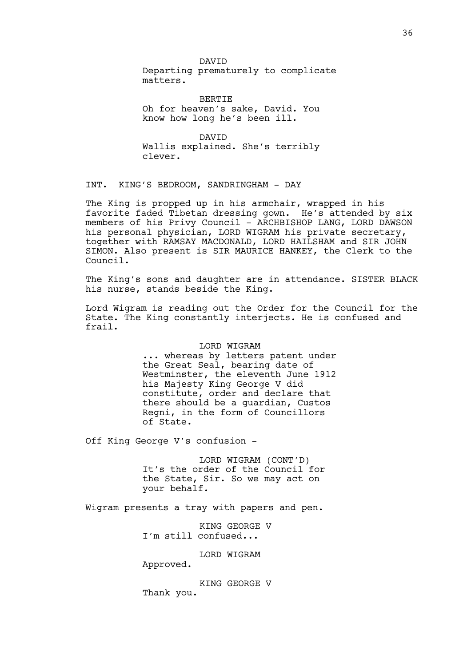DAVID Departing prematurely to complicate matters.

BERTIE Oh for heaven's sake, David. You know how long he's been ill.

DAVID Wallis explained. She's terribly clever.

INT. KING'S BEDROOM, SANDRINGHAM - DAY

The King is propped up in his armchair, wrapped in his favorite faded Tibetan dressing gown. He's attended by six members of his Privy Council - ARCHBISHOP LANG, LORD DAWSON his personal physician, LORD WIGRAM his private secretary, together with RAMSAY MACDONALD, LORD HAILSHAM and SIR JOHN SIMON. Also present is SIR MAURICE HANKEY, the Clerk to the Council.

The King's sons and daughter are in attendance. SISTER BLACK his nurse, stands beside the King.

Lord Wigram is reading out the Order for the Council for the State. The King constantly interjects. He is confused and frail.

### LORD WIGRAM

... whereas by letters patent under the Great Seal, bearing date of Westminster, the eleventh June 1912 his Majesty King George V did constitute, order and declare that there should be a guardian, Custos Regni, in the form of Councillors of State.

Off King George V's confusion -

LORD WIGRAM (CONT'D) It's the order of the Council for the State, Sir. So we may act on your behalf.

Wigram presents a tray with papers and pen.

KING GEORGE V I'm still confused...

LORD WIGRAM

Approved.

KING GEORGE V Thank you.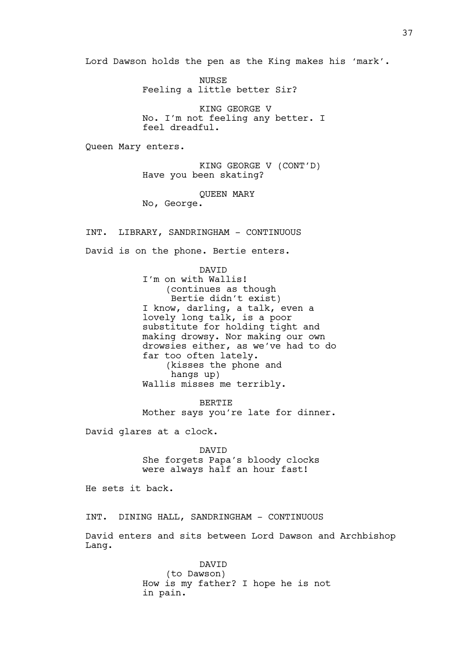Lord Dawson holds the pen as the King makes his 'mark'.

NURSE Feeling a little better Sir?

KING GEORGE V No. I'm not feeling any better. I feel dreadful.

Queen Mary enters.

KING GEORGE V (CONT'D) Have you been skating?

QUEEN MARY

No, George.

INT. LIBRARY, SANDRINGHAM - CONTINUOUS

David is on the phone. Bertie enters.

DAVID I'm on with Wallis! (continues as though Bertie didn't exist) I know, darling, a talk, even a lovely long talk, is a poor substitute for holding tight and making drowsy. Nor making our own drowsies either, as we've had to do far too often lately. (kisses the phone and hangs up) Wallis misses me terribly.

BERTIE Mother says you're late for dinner.

David glares at a clock.

DAVID She forgets Papa's bloody clocks were always half an hour fast!

He sets it back.

INT. DINING HALL, SANDRINGHAM - CONTINUOUS

David enters and sits between Lord Dawson and Archbishop Lang.

> DAVID (to Dawson) How is my father? I hope he is not in pain.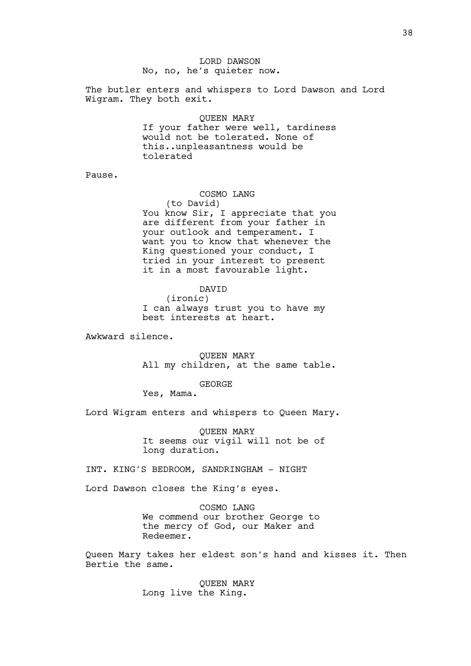## LORD DAWSON No, no, he's quieter now.

The butler enters and whispers to Lord Dawson and Lord Wigram. They both exit.

QUEEN MARY

If your father were well, tardiness would not be tolerated. None of this..unpleasantness would be tolerated

Pause.

## COSMO LANG

(to David) You know Sir, I appreciate that you are different from your father in your outlook and temperament. I want you to know that whenever the King questioned your conduct, I tried in your interest to present it in a most favourable light.

DAVID

(ironic) I can always trust you to have my best interests at heart.

Awkward silence.

QUEEN MARY All my children, at the same table.

GEORGE

Yes, Mama.

Lord Wigram enters and whispers to Queen Mary.

QUEEN MARY It seems our vigil will not be of long duration.

INT. KING'S BEDROOM, SANDRINGHAM - NIGHT

Lord Dawson closes the King's eyes.

COSMO LANG We commend our brother George to the mercy of God, our Maker and Redeemer.

Queen Mary takes her eldest son's hand and kisses it. Then Bertie the same.

> QUEEN MARY Long live the King.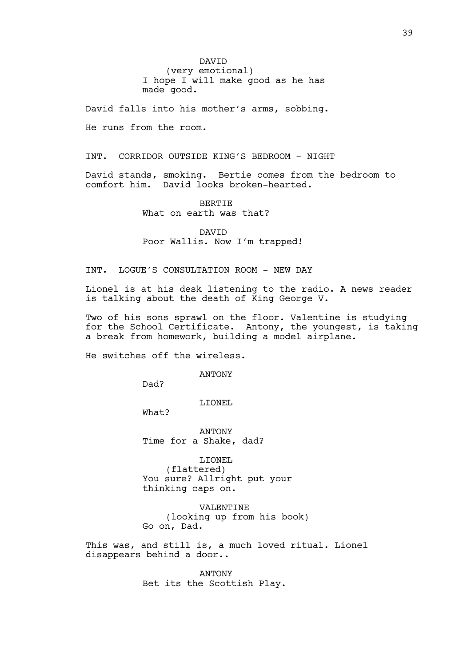DAVID (very emotional) I hope I will make good as he has made good.

David falls into his mother's arms, sobbing.

He runs from the room.

INT. CORRIDOR OUTSIDE KING'S BEDROOM - NIGHT

David stands, smoking. Bertie comes from the bedroom to comfort him. David looks broken-hearted.

> BERTIE What on earth was that?

DAVID Poor Wallis. Now I'm trapped!

## INT. LOGUE'S CONSULTATION ROOM - NEW DAY

Lionel is at his desk listening to the radio. A news reader is talking about the death of King George V.

Two of his sons sprawl on the floor. Valentine is studying for the School Certificate. Antony, the youngest, is taking a break from homework, building a model airplane.

He switches off the wireless.

ANTONY

Dad?

LIONEL

What?

ANTONY Time for a Shake, dad?

LIONEL (flattered) You sure? Allright put your thinking caps on.

VALENTINE (looking up from his book) Go on, Dad.

This was, and still is, a much loved ritual. Lionel disappears behind a door..

> ANTONY Bet its the Scottish Play.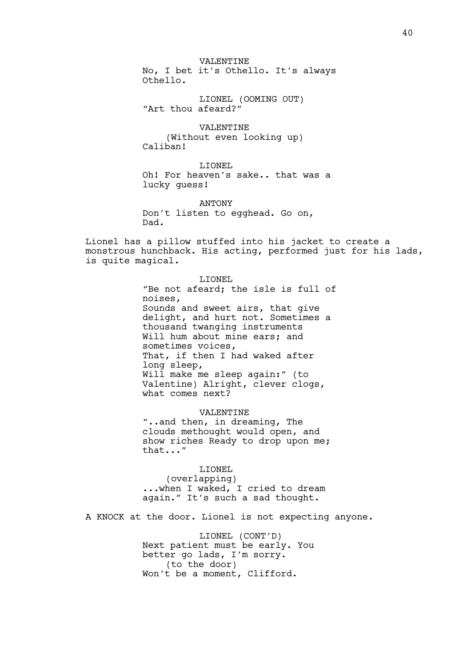VALENTINE No, I bet it's Othello. It's always Othello.

LIONEL (OOMING OUT) "Art thou afeard?"

VALENTINE (Without even looking up) Caliban!

LIONEL Oh! For heaven's sake.. that was a lucky guess!

ANTONY Don't listen to egghead. Go on, Dad.

Lionel has a pillow stuffed into his jacket to create a monstrous hunchback. His acting, performed just for his lads, is quite magical.

> LIONEL "Be not afeard; the isle is full of noises, Sounds and sweet airs, that give delight, and hurt not. Sometimes a thousand twanging instruments Will hum about mine ears; and sometimes voices, That, if then I had waked after long sleep, Will make me sleep again:" (to Valentine) Alright, clever clogs, what comes next?

VALENTINE "..and then, in dreaming, The clouds methought would open, and show riches Ready to drop upon me; that..."

LIONEL (overlapping) ...when I waked, I cried to dream again." It's such a sad thought.

A KNOCK at the door. Lionel is not expecting anyone.

LIONEL (CONT'D) Next patient must be early. You better go lads, I'm sorry. (to the door) Won't be a moment, Clifford.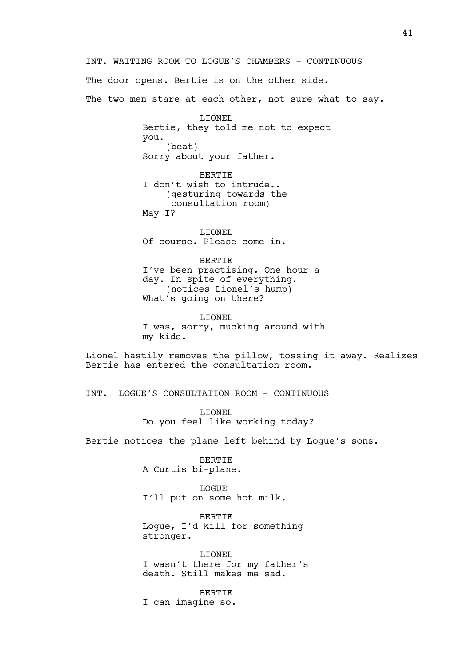INT. WAITING ROOM TO LOGUE'S CHAMBERS - CONTINUOUS

The door opens. Bertie is on the other side.

The two men stare at each other, not sure what to say.

LIONEL Bertie, they told me not to expect you. (beat) Sorry about your father.

BERTIE I don't wish to intrude.. (gesturing towards the consultation room) May I?

LIONEL Of course. Please come in.

BERTIE I've been practising. One hour a day. In spite of everything. (notices Lionel's hump) What's going on there?

LIONEL I was, sorry, mucking around with my kids.

Lionel hastily removes the pillow, tossing it away. Realizes Bertie has entered the consultation room.

INT. LOGUE'S CONSULTATION ROOM - CONTINUOUS

LIONEL Do you feel like working today?

Bertie notices the plane left behind by Logue's sons.

BERTIE A Curtis bi-plane.

LOGUE I'll put on some hot milk.

BERTIE Logue, I'd kill for something stronger.

LIONEL I wasn't there for my father's death. Still makes me sad.

BERTIE

I can imagine so.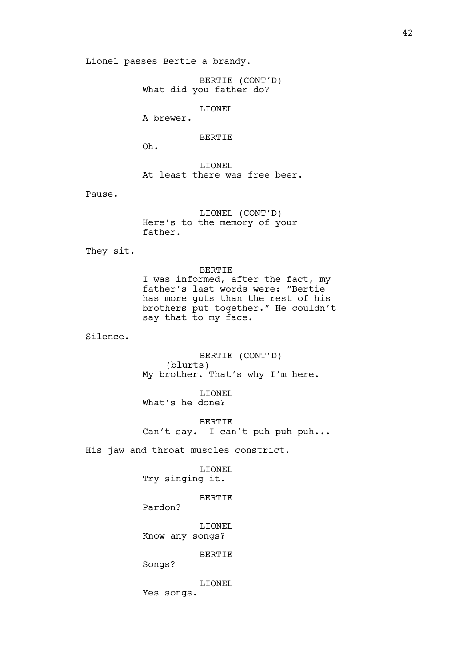Lionel passes Bertie a brandy.

BERTIE (CONT'D) What did you father do?

LIONEL

A brewer.

BERTIE

Oh.

LIONEL At least there was free beer.

Pause.

LIONEL (CONT'D) Here's to the memory of your father.

They sit.

BERTIE I was informed, after the fact, my father's last words were: "Bertie has more guts than the rest of his brothers put together." He couldn't say that to my face.

Silence.

BERTIE (CONT'D) (blurts) My brother. That's why I'm here.

LIONEL What's he done?

BERTIE Can't say. I can't puh-puh-puh...

His jaw and throat muscles constrict.

LIONEL Try singing it.

BERTIE

Pardon?

LIONEL Know any songs?

BERTIE

Songs?

LIONEL Yes songs.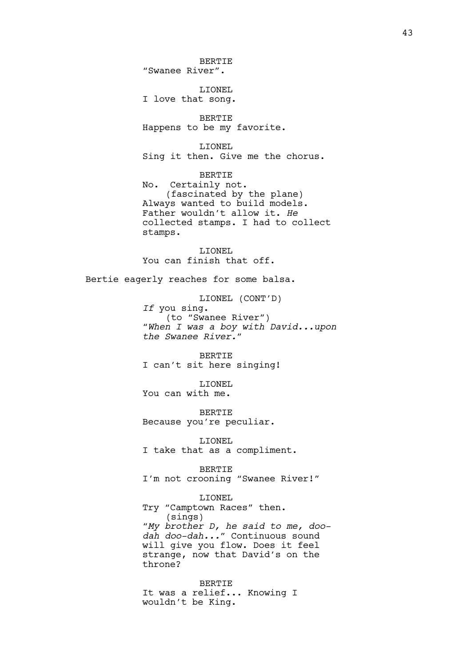BERTIE "Swanee River". LIONEL I love that song. BERTIE Happens to be my favorite. LIONEL Sing it then. Give me the chorus. BERTIE No. Certainly not. (fascinated by the plane) Always wanted to build models. Father wouldn't allow it. *He* collected stamps. I had to collect stamps. LIONEL You can finish that off. Bertie eagerly reaches for some balsa. LIONEL (CONT'D) *If* you sing. (to "Swanee River") *"When I was a boy with David...upon the Swanee River."* BERTIE I can't sit here singing! LIONEL You can with me. BERTIE Because you're peculiar. LIONEL I take that as a compliment. BERTIE I'm not crooning "Swanee River!" LIONEL Try "Camptown Races" then. (sings) *"My brother D, he said to me, doodah doo-dah..."* Continuous sound will give you flow. Does it feel strange, now that David's on the throne? BERTIE

It was a relief... Knowing I wouldn't be King.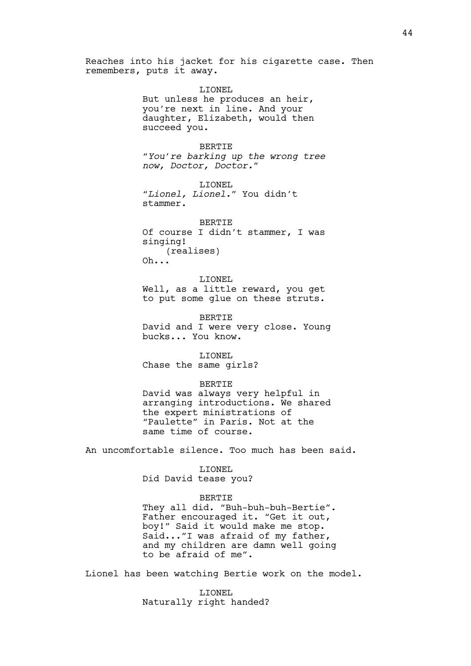Reaches into his jacket for his cigarette case. Then remembers, puts it away.

> LIONEL But unless he produces an heir, you're next in line. And your daughter, Elizabeth, would then succeed you.

BERTIE *"You're barking up the wrong tree now, Doctor, Doctor."*

LIONEL *"Lionel, Lionel."* You didn't stammer.

BERTIE Of course I didn't stammer, I was singing! (realises) Oh...

LIONEL Well, as a little reward, you get to put some glue on these struts.

BERTIE David and I were very close. Young bucks... You know.

LIONEL Chase the same girls?

BERTIE

David was always very helpful in arranging introductions. We shared the expert ministrations of "Paulette" in Paris. Not at the same time of course.

An uncomfortable silence. Too much has been said.

LIONEL Did David tease you?

## BERTIE

They all did. "Buh-buh-buh-Bertie". Father encouraged it. "Get it out, boy!" Said it would make me stop. Said..."I was afraid of my father, and my children are damn well going to be afraid of me".

Lionel has been watching Bertie work on the model.

LIONEL Naturally right handed?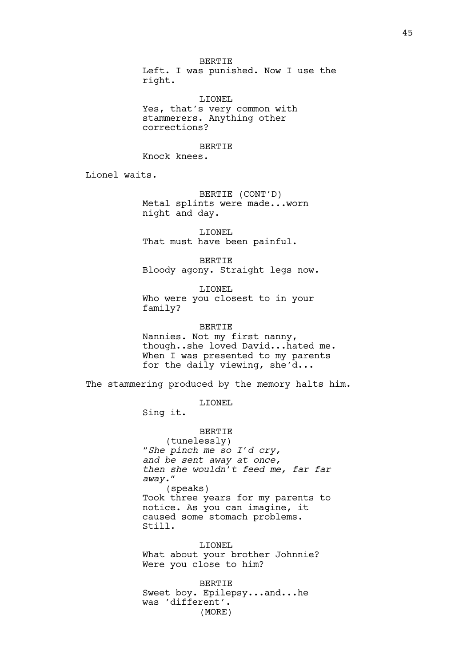BERTIE Left. I was punished. Now I use the right.

LIONEL Yes, that's very common with stammerers. Anything other corrections?

BERTIE

Knock knees.

Lionel waits.

BERTIE (CONT'D) Metal splints were made...worn night and day.

LIONEL That must have been painful.

BERTIE Bloody agony. Straight legs now.

LIONEL Who were you closest to in your family?

BERTIE Nannies. Not my first nanny, though..she loved David...hated me. When I was presented to my parents for the daily viewing, she'd...

The stammering produced by the memory halts him.

LIONEL

Sing it.

BERTIE (tunelessly) *"She pinch me so I'd cry, and be sent away at once, then she wouldn't feed me, far far away."* (speaks) Took three years for my parents to notice. As you can imagine, it caused some stomach problems. Still.

LIONEL What about your brother Johnnie? Were you close to him?

BERTIE Sweet boy. Epilepsy...and...he was 'different'. (MORE)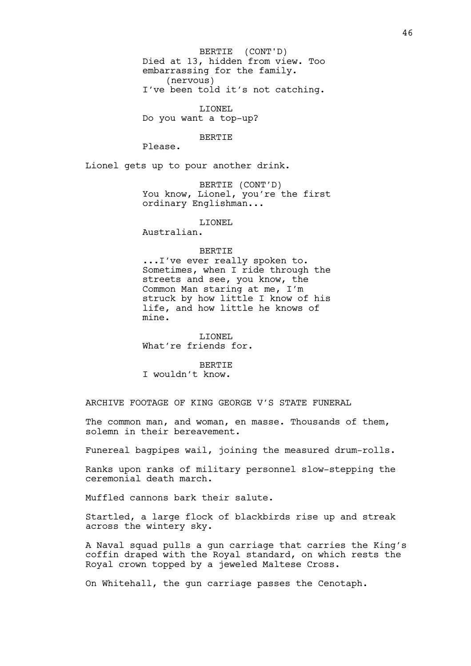Died at 13, hidden from view. Too embarrassing for the family. (nervous) I've been told it's not catching. BERTIE (CONT'D)

LIONEL Do you want a top-up?

BERTIE

Please.

Lionel gets up to pour another drink.

BERTIE (CONT'D) You know, Lionel, you're the first ordinary Englishman...

LIONEL

Australian.

#### BERTIE

...I've ever really spoken to. Sometimes, when I ride through the streets and see, you know, the Common Man staring at me, I'm struck by how little I know of his life, and how little he knows of mine.

LIONEL What're friends for.

BERTIE I wouldn't know.

ARCHIVE FOOTAGE OF KING GEORGE V'S STATE FUNERAL

The common man, and woman, en masse. Thousands of them, solemn in their bereavement.

Funereal bagpipes wail, joining the measured drum-rolls.

Ranks upon ranks of military personnel slow-stepping the ceremonial death march.

Muffled cannons bark their salute.

Startled, a large flock of blackbirds rise up and streak across the wintery sky.

A Naval squad pulls a gun carriage that carries the King's coffin draped with the Royal standard, on which rests the Royal crown topped by a jeweled Maltese Cross.

On Whitehall, the gun carriage passes the Cenotaph.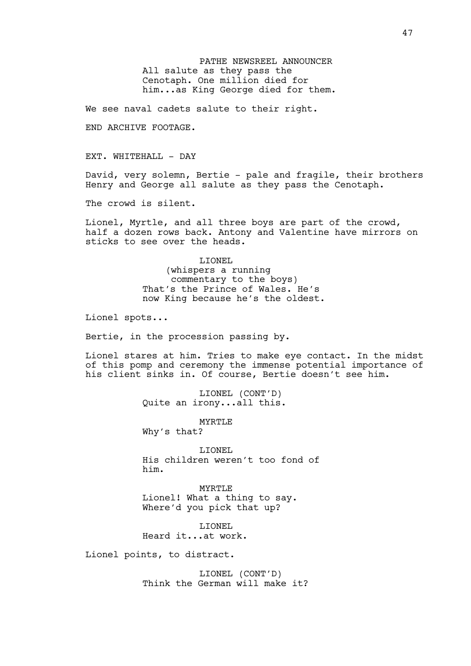PATHE NEWSREEL ANNOUNCER All salute as they pass the Cenotaph. One million died for him...as King George died for them.

We see naval cadets salute to their right.

END ARCHIVE FOOTAGE.

EXT. WHITEHALL - DAY

David, very solemn, Bertie - pale and fragile, their brothers Henry and George all salute as they pass the Cenotaph.

The crowd is silent.

Lionel, Myrtle, and all three boys are part of the crowd, half a dozen rows back. Antony and Valentine have mirrors on sticks to see over the heads.

> LIONEL (whispers a running commentary to the boys) That's the Prince of Wales. He's now King because he's the oldest.

Lionel spots...

Bertie, in the procession passing by.

Lionel stares at him. Tries to make eye contact. In the midst of this pomp and ceremony the immense potential importance of his client sinks in. Of course, Bertie doesn't see him.

> LIONEL (CONT'D) Quite an irony...all this.

> > MYRTLE

Why's that?

LIONEL His children weren't too fond of him.

MYRTLE Lionel! What a thing to say. Where'd you pick that up?

LIONEL Heard it...at work.

Lionel points, to distract.

LIONEL (CONT'D) Think the German will make it?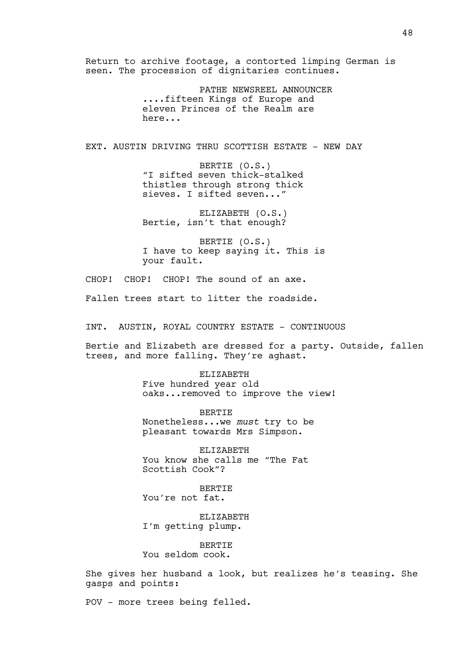Return to archive footage, a contorted limping German is seen. The procession of dignitaries continues.

> PATHE NEWSREEL ANNOUNCER ....fifteen Kings of Europe and eleven Princes of the Realm are here...

EXT. AUSTIN DRIVING THRU SCOTTISH ESTATE - NEW DAY

BERTIE (O.S.) "I sifted seven thick-stalked thistles through strong thick sieves. I sifted seven..."

ELIZABETH (O.S.) Bertie, isn't that enough?

BERTIE (O.S.) I have to keep saying it. This is your fault.

CHOP! CHOP! CHOP! The sound of an axe.

Fallen trees start to litter the roadside.

INT. AUSTIN, ROYAL COUNTRY ESTATE - CONTINUOUS

Bertie and Elizabeth are dressed for a party. Outside, fallen trees, and more falling. They're aghast.

ELIZABETH

Five hundred year old oaks...removed to improve the view!

BERTIE Nonetheless...we *must* try to be pleasant towards Mrs Simpson.

ELIZABETH You know she calls me "The Fat Scottish Cook"?

BERTIE You're not fat.

ELIZABETH I'm getting plump.

**BERTIE** You seldom cook.

She gives her husband a look, but realizes he's teasing. She gasps and points:

POV - more trees being felled.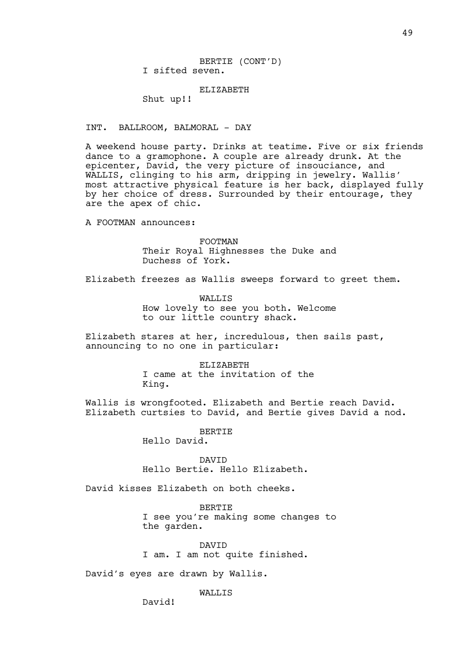BERTIE (CONT'D) I sifted seven.

#### ELIZABETH

Shut up!!

## INT. BALLROOM, BALMORAL - DAY

A weekend house party. Drinks at teatime. Five or six friends dance to a gramophone. A couple are already drunk. At the epicenter, David, the very picture of insouciance, and WALLIS, clinging to his arm, dripping in jewelry. Wallis' most attractive physical feature is her back, displayed fully by her choice of dress. Surrounded by their entourage, they are the apex of chic.

A FOOTMAN announces:

FOOTMAN Their Royal Highnesses the Duke and Duchess of York.

Elizabeth freezes as Wallis sweeps forward to greet them.

WALLIS How lovely to see you both. Welcome to our little country shack.

Elizabeth stares at her, incredulous, then sails past, announcing to no one in particular:

> ELIZABETH I came at the invitation of the King.

Wallis is wrongfooted. Elizabeth and Bertie reach David. Elizabeth curtsies to David, and Bertie gives David a nod.

> BERTIE Hello David.

DAVID Hello Bertie. Hello Elizabeth.

David kisses Elizabeth on both cheeks.

BERTIE I see you're making some changes to the garden.

DAVID I am. I am not quite finished.

David's eyes are drawn by Wallis.

WALLIS

David!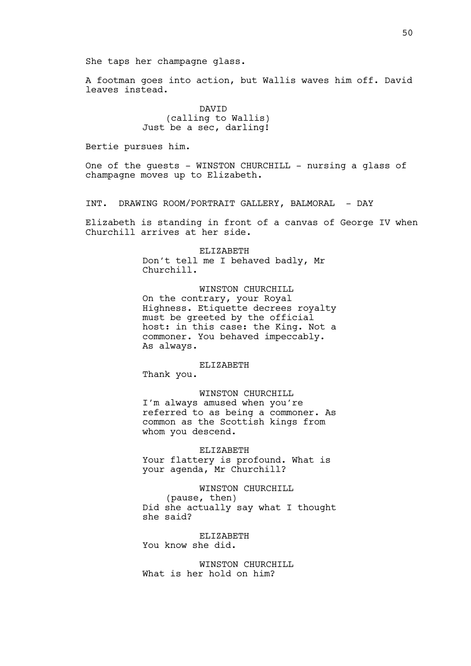A footman goes into action, but Wallis waves him off. David leaves instead.

> DAVID (calling to Wallis) Just be a sec, darling!

Bertie pursues him.

One of the guests - WINSTON CHURCHILL - nursing a glass of champagne moves up to Elizabeth.

INT. DRAWING ROOM/PORTRAIT GALLERY, BALMORAL - DAY

Elizabeth is standing in front of a canvas of George IV when Churchill arrives at her side.

> ELIZABETH Don't tell me I behaved badly, Mr Churchill.

WINSTON CHURCHILL On the contrary, your Royal Highness. Etiquette decrees royalty must be greeted by the official host: in this case: the King. Not a commoner. You behaved impeccably. As always.

#### ELIZABETH

Thank you.

WINSTON CHURCHILL I'm always amused when you're referred to as being a commoner. As common as the Scottish kings from whom you descend.

ELIZABETH Your flattery is profound. What is your agenda, Mr Churchill?

WINSTON CHURCHILL (pause, then) Did she actually say what I thought she said?

ELIZABETH You know she did.

WINSTON CHURCHILL What is her hold on him?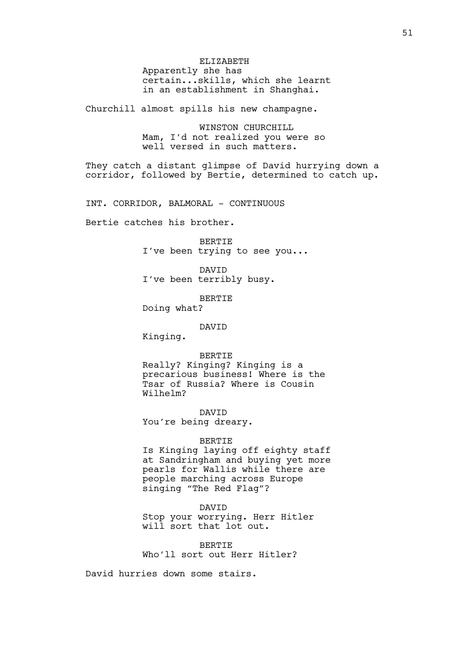ELIZABETH Apparently she has certain...skills, which she learnt in an establishment in Shanghai.

Churchill almost spills his new champagne.

WINSTON CHURCHILL Mam, I'd not realized you were so well versed in such matters.

They catch a distant glimpse of David hurrying down a corridor, followed by Bertie, determined to catch up.

INT. CORRIDOR, BALMORAL - CONTINUOUS

Bertie catches his brother.

BERTIE I've been trying to see you...

DAVID I've been terribly busy.

BERTIE

Doing what?

DAVID

Kinging.

BERTIE

Really? Kinging? Kinging is a precarious business! Where is the Tsar of Russia? Where is Cousin Wilhelm?

DAVID You're being dreary.

### BERTIE

Is Kinging laying off eighty staff at Sandringham and buying yet more pearls for Wallis while there are people marching across Europe singing "The Red Flag"?

DAVID

Stop your worrying. Herr Hitler will sort that lot out.

BERTIE Who'll sort out Herr Hitler?

David hurries down some stairs.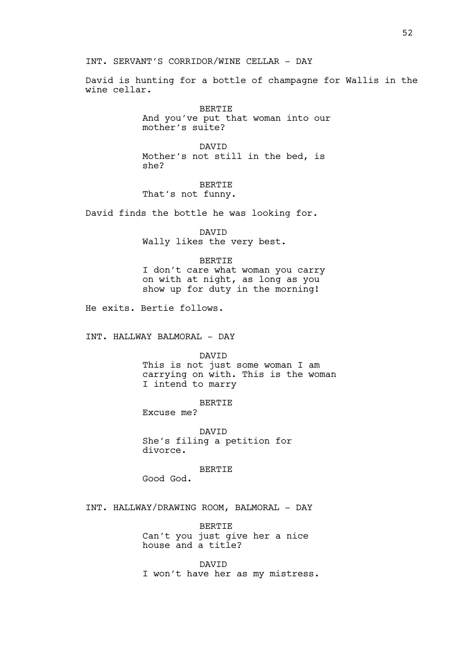# INT. SERVANT'S CORRIDOR/WINE CELLAR - DAY

David is hunting for a bottle of champagne for Wallis in the wine cellar.

> BERTIE And you've put that woman into our mother's suite?

DAVID Mother's not still in the bed, is she?

BERTIE That's not funny.

David finds the bottle he was looking for.

DAVID

Wally likes the very best.

### BERTIE

I don't care what woman you carry on with at night, as long as you show up for duty in the morning!

He exits. Bertie follows.

INT. HALLWAY BALMORAL - DAY

DAVID

This is not just some woman I am carrying on with. This is the woman I intend to marry

BERTIE

Excuse me?

DAVID She's filing a petition for divorce.

BERTIE Good God.

INT. HALLWAY/DRAWING ROOM, BALMORAL - DAY

BERTIE Can't you just give her a nice house and a title?

DAVID I won't have her as my mistress.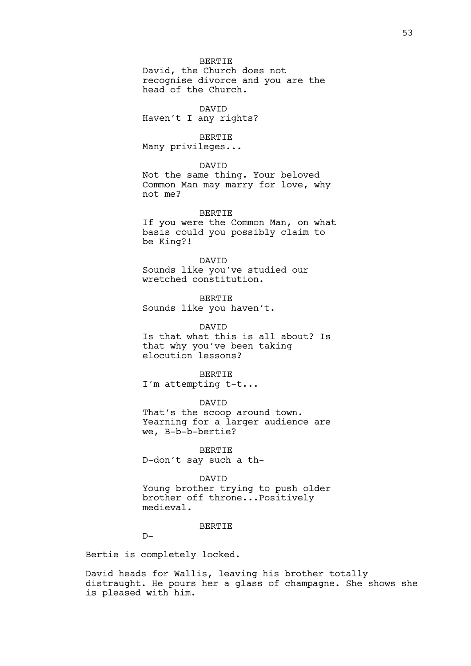### BERTIE

David, the Church does not recognise divorce and you are the head of the Church.

DAVID Haven't I any rights?

BERTIE Many privileges...

### DAVID

Not the same thing. Your beloved Common Man may marry for love, why not me?

BERTIE If you were the Common Man, on what

basis could you possibly claim to be King?!

#### DAVID

Sounds like you've studied our wretched constitution.

BERTIE Sounds like you haven't.

DAVID Is that what this is all about? Is that why you've been taking elocution lessons?

BERTIE I'm attempting t-t...

### DAVID

That's the scoop around town. Yearning for a larger audience are we, B-b-b-bertie?

BERTIE D-don't say such a th-

#### DAVID

Young brother trying to push older brother off throne...Positively medieval.

### **BERTIE**

 $D-$ 

Bertie is completely locked.

David heads for Wallis, leaving his brother totally distraught. He pours her a glass of champagne. She shows she is pleased with him.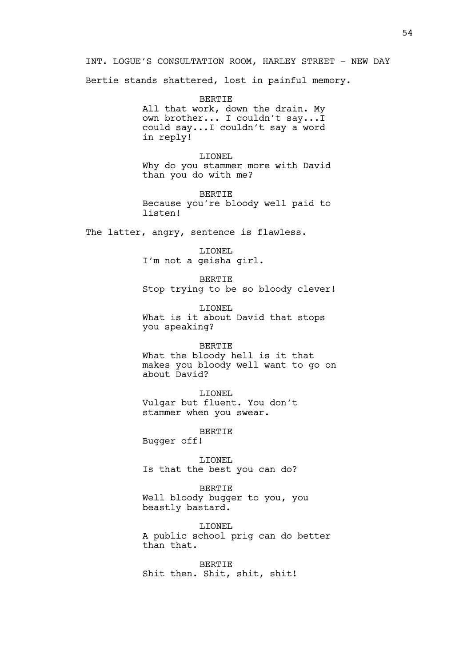INT. LOGUE'S CONSULTATION ROOM, HARLEY STREET - NEW DAY

Bertie stands shattered, lost in painful memory.

BERTIE All that work, down the drain. My own brother... I couldn't say...I could say...I couldn't say a word in reply!

LIONEL Why do you stammer more with David than you do with me?

BERTIE Because you're bloody well paid to listen!

The latter, angry, sentence is flawless.

LIONEL I'm not a geisha girl.

BERTIE Stop trying to be so bloody clever!

LIONEL What is it about David that stops you speaking?

BERTIE What the bloody hell is it that makes you bloody well want to go on about David?

LIONEL Vulgar but fluent. You don't stammer when you swear.

BERTIE Bugger off!

LIONEL Is that the best you can do?

BERTIE Well bloody bugger to you, you beastly bastard.

LIONEL A public school prig can do better than that.

BERTIE Shit then. Shit, shit, shit!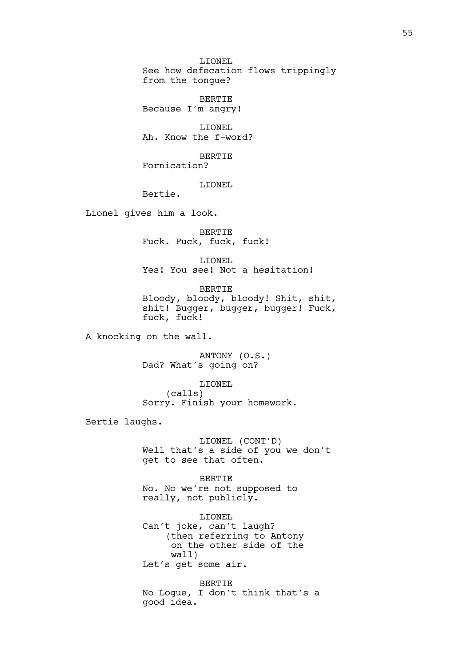LIONEL See how defecation flows trippingly from the tongue?

BERTIE Because I'm angry!

LIONEL Ah. Know the f-word?

BERTIE Fornication?

LIONEL

Bertie.

Lionel gives him a look.

BERTIE Fuck. Fuck, fuck, fuck!

LIONEL Yes! You see! Not a hesitation!

BERTIE Bloody, bloody, bloody! Shit, shit, shit! Bugger, bugger, bugger! Fuck, fuck, fuck!

A knocking on the wall.

ANTONY (O.S.) Dad? What's going on?

LIONEL

(calls) Sorry. Finish your homework.

Bertie laughs.

LIONEL (CONT'D) Well that's a side of you we don't get to see that often.

BERTIE No. No we're not supposed to really, not publicly.

LIONEL Can't joke, can't laugh? (then referring to Antony on the other side of the wall) Let's get some air.

BERTIE No Logue, I don't think that's a good idea.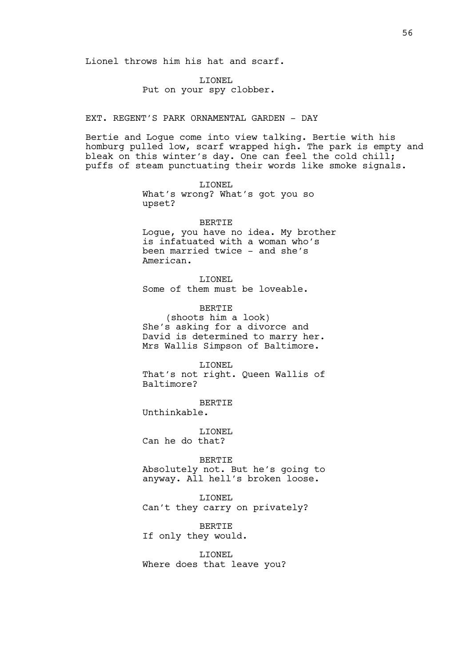Lionel throws him his hat and scarf.

LIONEL Put on your spy clobber.

## EXT. REGENT'S PARK ORNAMENTAL GARDEN - DAY

Bertie and Logue come into view talking. Bertie with his homburg pulled low, scarf wrapped high. The park is empty and bleak on this winter's day. One can feel the cold chill; puffs of steam punctuating their words like smoke signals.

> LIONEL What's wrong? What's got you so upset?

#### BERTIE

Logue, you have no idea. My brother is infatuated with a woman who's been married twice - and she's American.

LIONEL Some of them must be loveable.

BERTIE (shoots him a look) She's asking for a divorce and David is determined to marry her.

Mrs Wallis Simpson of Baltimore.

LIONEL

That's not right. Queen Wallis of Baltimore?

BERTIE Unthinkable.

LIONEL

Can he do that?

BERTIE Absolutely not. But he's going to anyway. All hell's broken loose.

LIONEL Can't they carry on privately?

**BERTIE** If only they would.

LIONEL Where does that leave you?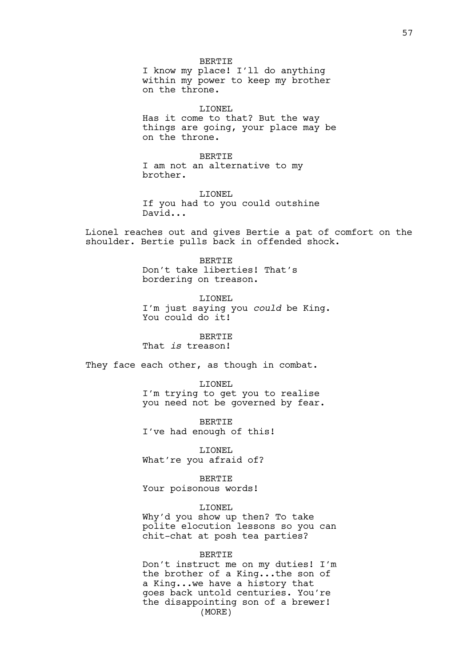BERTIE I know my place! I'll do anything within my power to keep my brother on the throne.

LIONEL Has it come to that? But the way things are going, your place may be on the throne.

**BERTIE** I am not an alternative to my brother.

LIONEL If you had to you could outshine David...

Lionel reaches out and gives Bertie a pat of comfort on the shoulder. Bertie pulls back in offended shock.

> BERTIE Don't take liberties! That's bordering on treason.

LIONEL I'm just saying you *could* be King. You could do it!

**BERTIE** That *is* treason!

They face each other, as though in combat.

LIONEL

I'm trying to get you to realise you need not be governed by fear.

BERTIE I've had enough of this!

LIONEL What're you afraid of?

BERTIE Your poisonous words!

LIONEL

Why'd you show up then? To take polite elocution lessons so you can chit-chat at posh tea parties?

BERTIE

Don't instruct me on my duties! I'm the brother of a King...the son of a King...we have a history that goes back untold centuries. You're the disappointing son of a brewer! (MORE)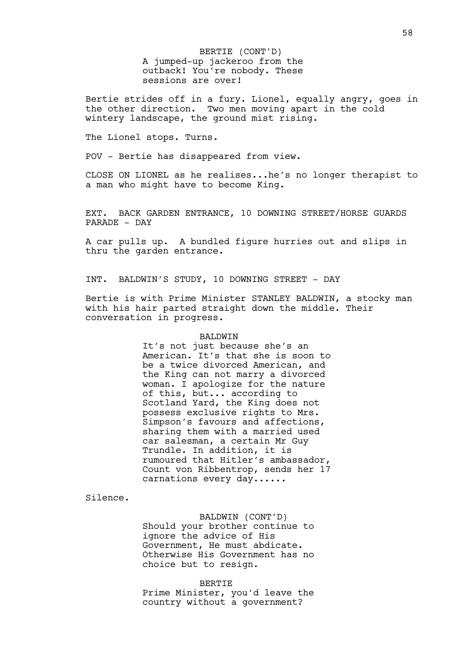A jumped-up jackeroo from the outback! You're nobody. These sessions are over! BERTIE (CONT'D)

Bertie strides off in a fury. Lionel, equally angry, goes in the other direction. Two men moving apart in the cold wintery landscape, the ground mist rising.

The Lionel stops. Turns.

POV - Bertie has disappeared from view.

CLOSE ON LIONEL as he realises...he's no longer therapist to a man who might have to become King.

EXT. BACK GARDEN ENTRANCE, 10 DOWNING STREET/HORSE GUARDS PARADE - DAY

A car pulls up. A bundled figure hurries out and slips in thru the garden entrance.

INT. BALDWIN'S STUDY, 10 DOWNING STREET - DAY

Bertie is with Prime Minister STANLEY BALDWIN, a stocky man with his hair parted straight down the middle. Their conversation in progress.

#### BALDWIN

It's not just because she's an American. It's that she is soon to be a twice divorced American, and the King can not marry a divorced woman. I apologize for the nature of this, but... according to Scotland Yard, the King does not possess exclusive rights to Mrs. Simpson's favours and affections, sharing them with a married used car salesman, a certain Mr Guy Trundle. In addition, it is rumoured that Hitler's ambassador, Count von Ribbentrop, sends her 17 carnations every day......

Silence.

BALDWIN (CONT'D)

Should your brother continue to ignore the advice of His Government, He must abdicate. Otherwise His Government has no choice but to resign.

#### BERTIE

Prime Minister, you'd leave the country without a government?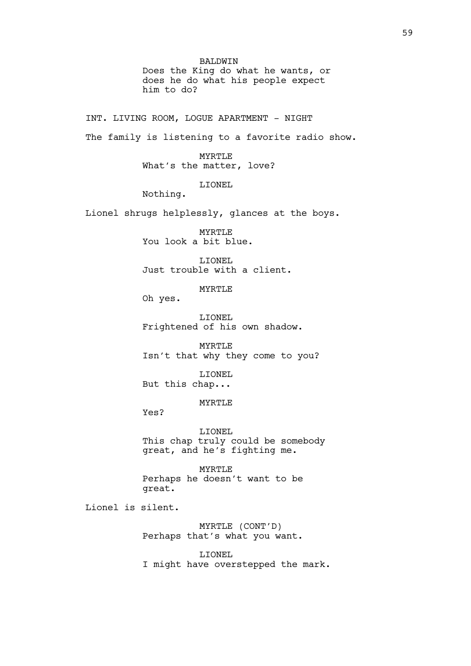BALDWIN Does the King do what he wants, or does he do what his people expect him to do?

INT. LIVING ROOM, LOGUE APARTMENT - NIGHT The family is listening to a favorite radio show. MYRTLE What's the matter, love? LIONEL Nothing. Lionel shrugs helplessly, glances at the boys. MYRTLE You look a bit blue. LIONEL Just trouble with a client. MYRTLE Oh yes. LIONEL Frightened of his own shadow. MYRTLE Isn't that why they come to you? LIONEL But this chap... MYRTLE Yes? LIONEL This chap truly could be somebody great, and he's fighting me. MYRTLE

Perhaps he doesn't want to be great.

Lionel is silent.

MYRTLE (CONT'D) Perhaps that's what you want.

LIONEL I might have overstepped the mark.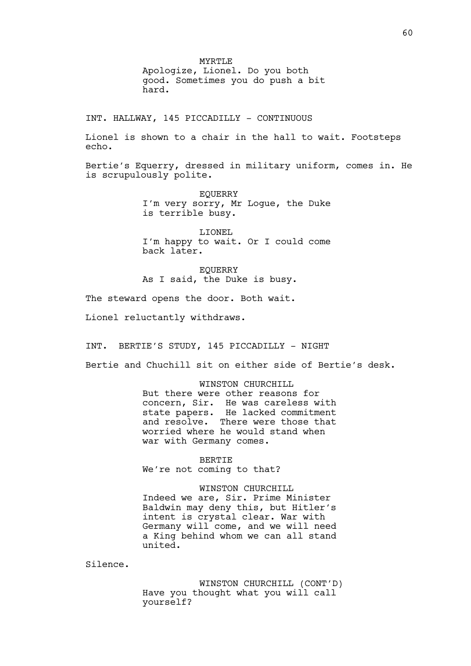MYRTLE Apologize, Lionel. Do you both good. Sometimes you do push a bit hard.

INT. HALLWAY, 145 PICCADILLY - CONTINUOUS

Lionel is shown to a chair in the hall to wait. Footsteps echo.

Bertie's Equerry, dressed in military uniform, comes in. He is scrupulously polite.

> EQUERRY I'm very sorry, Mr Logue, the Duke is terrible busy.

> LIONEL I'm happy to wait. Or I could come back later.

EQUERRY As I said, the Duke is busy.

The steward opens the door. Both wait.

Lionel reluctantly withdraws.

INT. BERTIE'S STUDY, 145 PICCADILLY - NIGHT

Bertie and Chuchill sit on either side of Bertie's desk.

WINSTON CHURCHILL But there were other reasons for concern, Sir. He was careless with state papers. He lacked commitment and resolve. There were those that worried where he would stand when war with Germany comes.

BERTIE We're not coming to that?

WINSTON CHURCHILL Indeed we are, Sir. Prime Minister Baldwin may deny this, but Hitler's intent is crystal clear. War with Germany will come, and we will need a King behind whom we can all stand united.

Silence.

WINSTON CHURCHILL (CONT'D) Have you thought what you will call yourself?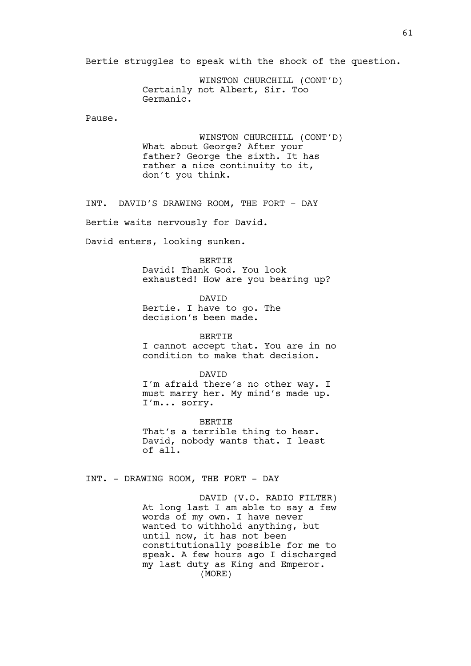Bertie struggles to speak with the shock of the question.

WINSTON CHURCHILL (CONT'D) Certainly not Albert, Sir. Too Germanic.

Pause.

WINSTON CHURCHILL (CONT'D) What about George? After your father? George the sixth. It has rather a nice continuity to it, don't you think.

INT. DAVID'S DRAWING ROOM, THE FORT - DAY

Bertie waits nervously for David.

David enters, looking sunken.

BERTIE

David! Thank God. You look exhausted! How are you bearing up?

DAVID Bertie. I have to go. The decision's been made.

BERTIE I cannot accept that. You are in no condition to make that decision.

DAVID

I'm afraid there's no other way. I must marry her. My mind's made up. I'm... sorry.

BERTIE That's a terrible thing to hear. David, nobody wants that. I least of all.

INT. - DRAWING ROOM, THE FORT - DAY

DAVID (V.O. RADIO FILTER) At long last I am able to say a few words of my own. I have never wanted to withhold anything, but until now, it has not been constitutionally possible for me to speak. A few hours ago I discharged my last duty as King and Emperor. (MORE)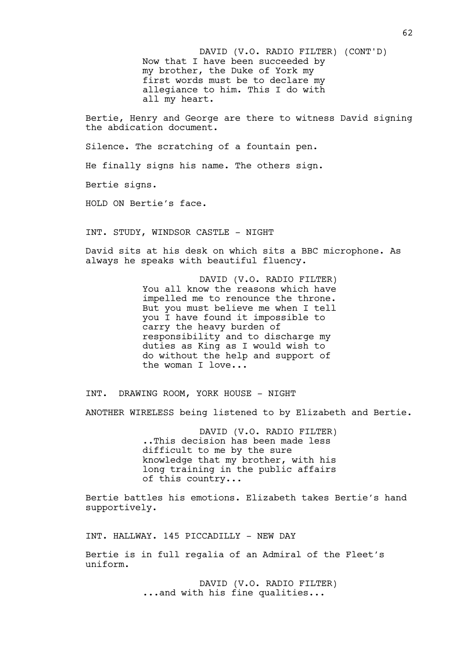Now that I have been succeeded by my brother, the Duke of York my first words must be to declare my allegiance to him. This I do with all my heart. DAVID (V.O. RADIO FILTER) (CONT'D)

Bertie, Henry and George are there to witness David signing the abdication document.

Silence. The scratching of a fountain pen.

He finally signs his name. The others sign.

Bertie signs.

HOLD ON Bertie's face.

INT. STUDY, WINDSOR CASTLE - NIGHT

David sits at his desk on which sits a BBC microphone. As always he speaks with beautiful fluency.

> DAVID (V.O. RADIO FILTER) You all know the reasons which have impelled me to renounce the throne. But you must believe me when I tell you I have found it impossible to carry the heavy burden of responsibility and to discharge my duties as King as I would wish to do without the help and support of the woman I love...

INT. DRAWING ROOM, YORK HOUSE - NIGHT

ANOTHER WIRELESS being listened to by Elizabeth and Bertie.

DAVID (V.O. RADIO FILTER) ..This decision has been made less difficult to me by the sure knowledge that my brother, with his long training in the public affairs of this country...

Bertie battles his emotions. Elizabeth takes Bertie's hand supportively.

INT. HALLWAY. 145 PICCADILLY - NEW DAY

Bertie is in full regalia of an Admiral of the Fleet's uniform.

> DAVID (V.O. RADIO FILTER) ...and with his fine qualities...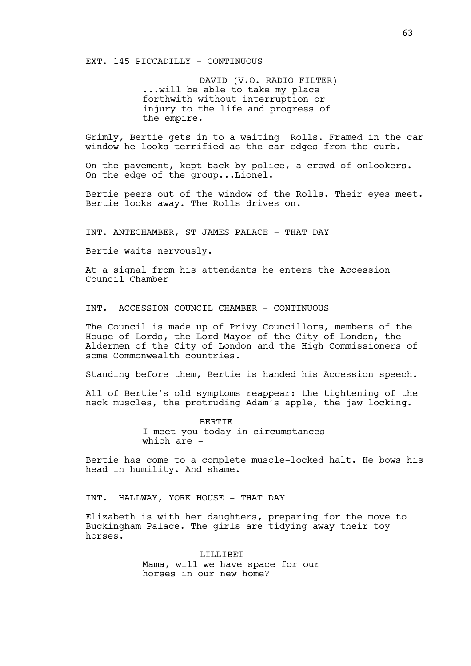EXT. 145 PICCADILLY - CONTINUOUS

DAVID (V.O. RADIO FILTER) ...will be able to take my place forthwith without interruption or injury to the life and progress of the empire.

Grimly, Bertie gets in to a waiting Rolls. Framed in the car window he looks terrified as the car edges from the curb.

On the pavement, kept back by police, a crowd of onlookers. On the edge of the group...Lionel.

Bertie peers out of the window of the Rolls. Their eyes meet. Bertie looks away. The Rolls drives on.

INT. ANTECHAMBER, ST JAMES PALACE - THAT DAY

Bertie waits nervously.

At a signal from his attendants he enters the Accession Council Chamber

INT. ACCESSION COUNCIL CHAMBER - CONTINUOUS

The Council is made up of Privy Councillors, members of the House of Lords, the Lord Mayor of the City of London, the Aldermen of the City of London and the High Commissioners of some Commonwealth countries.

Standing before them, Bertie is handed his Accession speech.

All of Bertie's old symptoms reappear: the tightening of the neck muscles, the protruding Adam's apple, the jaw locking.

> BERTIE I meet you today in circumstances which are -

Bertie has come to a complete muscle-locked halt. He bows his head in humility. And shame.

INT. HALLWAY, YORK HOUSE - THAT DAY

Elizabeth is with her daughters, preparing for the move to Buckingham Palace. The girls are tidying away their toy horses.

> **LILLIBET** Mama, will we have space for our horses in our new home?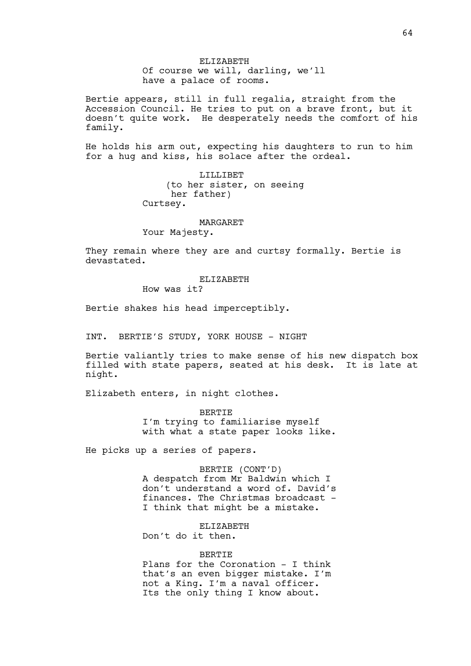ELIZABETH Of course we will, darling, we'll have a palace of rooms.

Bertie appears, still in full regalia, straight from the Accession Council. He tries to put on a brave front, but it doesn't quite work. He desperately needs the comfort of his family.

He holds his arm out, expecting his daughters to run to him for a hug and kiss, his solace after the ordeal.

> LILLIBET (to her sister, on seeing her father) Curtsey.

#### **MARGARET**

Your Majesty.

They remain where they are and curtsy formally. Bertie is devastated.

#### ELIZABETH

How was it?

Bertie shakes his head imperceptibly.

INT. BERTIE'S STUDY, YORK HOUSE - NIGHT

Bertie valiantly tries to make sense of his new dispatch box filled with state papers, seated at his desk. It is late at night.

Elizabeth enters, in night clothes.

BERTIE I'm trying to familiarise myself with what a state paper looks like.

He picks up a series of papers.

BERTIE (CONT'D) A despatch from Mr Baldwin which I don't understand a word of. David's finances. The Christmas broadcast - I think that might be a mistake.

ELIZABETH Don't do it then.

## BERTIE

Plans for the Coronation - I think that's an even bigger mistake. I'm not a King. I'm a naval officer. Its the only thing I know about.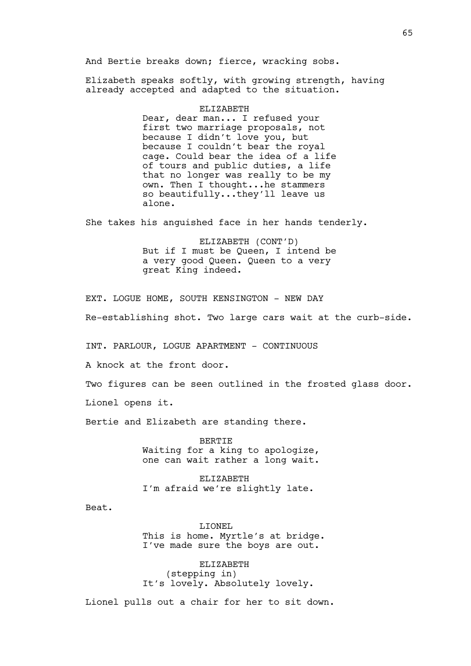And Bertie breaks down; fierce, wracking sobs.

Elizabeth speaks softly, with growing strength, having already accepted and adapted to the situation.

#### ELIZABETH

Dear, dear man... I refused your first two marriage proposals, not because I didn't love you, but because I couldn't bear the royal cage. Could bear the idea of a life of tours and public duties, a life that no longer was really to be my own. Then I thought...he stammers so beautifully...they'll leave us alone.

She takes his anguished face in her hands tenderly.

ELIZABETH (CONT'D) But if I must be Queen, I intend be a very good Queen. Queen to a very great King indeed.

EXT. LOGUE HOME, SOUTH KENSINGTON - NEW DAY Re-establishing shot. Two large cars wait at the curb-side.

INT. PARLOUR, LOGUE APARTMENT - CONTINUOUS

A knock at the front door.

Two figures can be seen outlined in the frosted glass door.

Lionel opens it.

Bertie and Elizabeth are standing there.

BERTIE Waiting for a king to apologize, one can wait rather a long wait.

ELIZABETH I'm afraid we're slightly late.

Beat.

LIONEL This is home. Myrtle's at bridge. I've made sure the boys are out.

ELIZABETH (stepping in) It's lovely. Absolutely lovely.

Lionel pulls out a chair for her to sit down.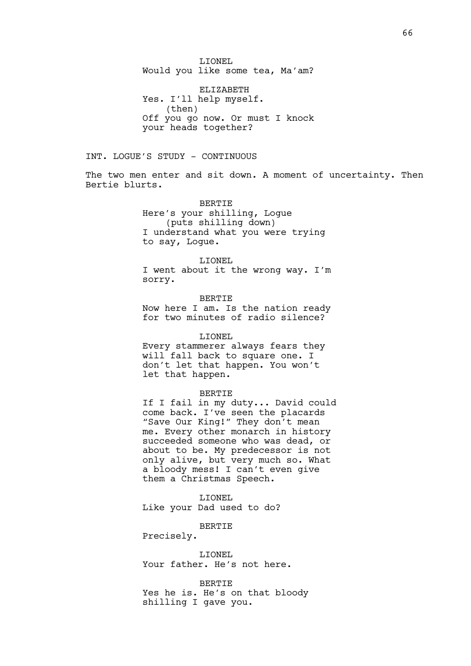LIONEL Would you like some tea, Ma'am?

ELIZABETH Yes. I'll help myself. (then) Off you go now. Or must I knock your heads together?

INT. LOGUE'S STUDY - CONTINUOUS

The two men enter and sit down. A moment of uncertainty. Then Bertie blurts.

> BERTIE Here's your shilling, Logue (puts shilling down) I understand what you were trying to say, Logue.

#### LIONEL

I went about it the wrong way. I'm sorry.

BERTIE Now here I am. Is the nation ready for two minutes of radio silence?

#### LIONEL

Every stammerer always fears they will fall back to square one. I don't let that happen. You won't let that happen.

#### BERTIE

If I fail in my duty... David could come back. I've seen the placards "Save Our King!" They don't mean me. Every other monarch in history succeeded someone who was dead, or about to be. My predecessor is not only alive, but very much so. What a bloody mess! I can't even give them a Christmas Speech.

LIONEL Like your Dad used to do?

**BERTIE** 

Precisely.

LIONEL Your father. He's not here.

BERTIE Yes he is. He's on that bloody shilling I gave you.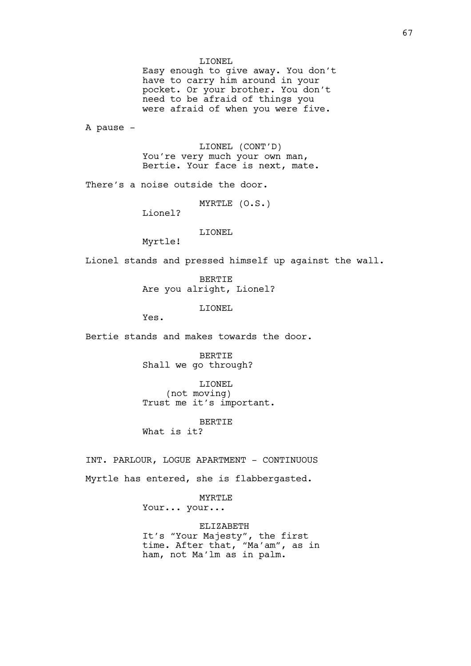LIONEL

Easy enough to give away. You don't have to carry him around in your pocket. Or your brother. You don't need to be afraid of things you were afraid of when you were five.

A pause -

LIONEL (CONT'D) You're very much your own man, Bertie. Your face is next, mate.

There's a noise outside the door.

MYRTLE (O.S.)

Lionel?

LIONEL

Myrtle!

Lionel stands and pressed himself up against the wall.

BERTIE Are you alright, Lionel?

LIONEL

Yes.

Bertie stands and makes towards the door.

BERTIE Shall we go through?

LIONEL (not moving) Trust me it's important.

BERTIE

What is it?

INT. PARLOUR, LOGUE APARTMENT - CONTINUOUS Myrtle has entered, she is flabbergasted.

> MYRTLE Your... your...

ELIZABETH It's "Your Majesty", the first time. After that, "Ma'am", as in ham, not Ma'lm as in palm.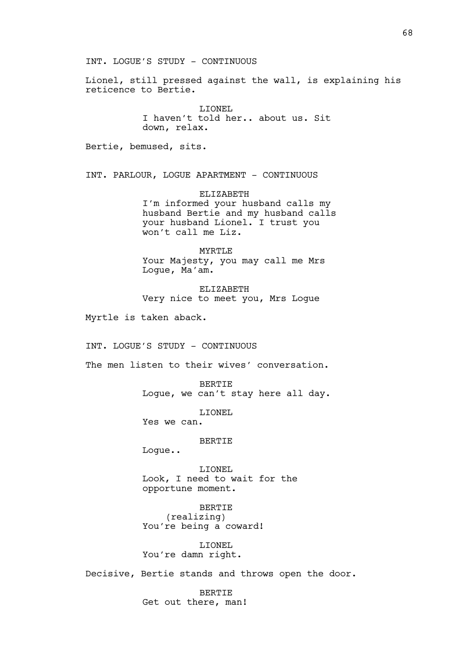INT. LOGUE'S STUDY - CONTINUOUS

Lionel, still pressed against the wall, is explaining his reticence to Bertie.

> LIONEL I haven't told her.. about us. Sit down, relax.

Bertie, bemused, sits.

INT. PARLOUR, LOGUE APARTMENT - CONTINUOUS

ELIZABETH I'm informed your husband calls my husband Bertie and my husband calls your husband Lionel. I trust you won't call me Liz.

MYRTLE Your Majesty, you may call me Mrs Logue, Ma'am.

ELIZABETH Very nice to meet you, Mrs Logue

Myrtle is taken aback.

INT. LOGUE'S STUDY - CONTINUOUS

The men listen to their wives' conversation.

BERTIE Logue, we can't stay here all day.

LIONEL

Yes we can.

BERTIE

Logue..

LIONEL Look, I need to wait for the opportune moment.

BERTIE (realizing) You're being a coward!

LIONEL You're damn right.

Decisive, Bertie stands and throws open the door.

BERTIE Get out there, man!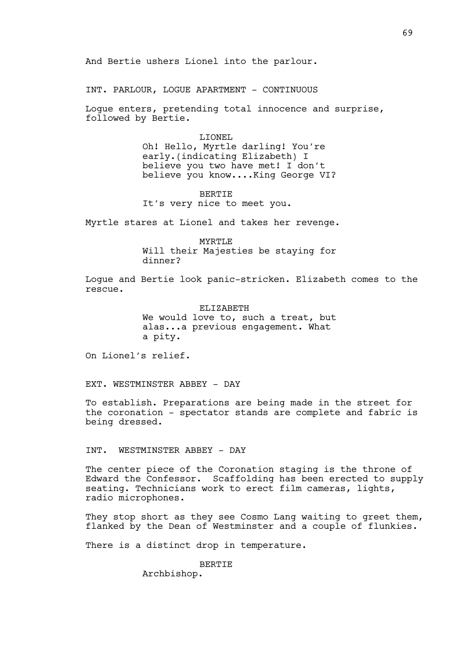And Bertie ushers Lionel into the parlour.

INT. PARLOUR, LOGUE APARTMENT - CONTINUOUS

Logue enters, pretending total innocence and surprise, followed by Bertie.

> LIONEL Oh! Hello, Myrtle darling! You're early.(indicating Elizabeth) I believe you two have met! I don't believe you know....King George VI?

BERTIE It's very nice to meet you.

Myrtle stares at Lionel and takes her revenge.

MYRTLE Will their Majesties be staying for dinner?

Logue and Bertie look panic-stricken. Elizabeth comes to the rescue.

> ELIZABETH We would love to, such a treat, but alas...a previous engagement. What a pity.

On Lionel's relief.

EXT. WESTMINSTER ABBEY - DAY

To establish. Preparations are being made in the street for the coronation - spectator stands are complete and fabric is being dressed.

INT. WESTMINSTER ABBEY - DAY

The center piece of the Coronation staging is the throne of Edward the Confessor. Scaffolding has been erected to supply seating. Technicians work to erect film cameras, lights, radio microphones.

They stop short as they see Cosmo Lang waiting to greet them, flanked by the Dean of Westminster and a couple of flunkies.

There is a distinct drop in temperature.

**BERTIE** 

Archbishop.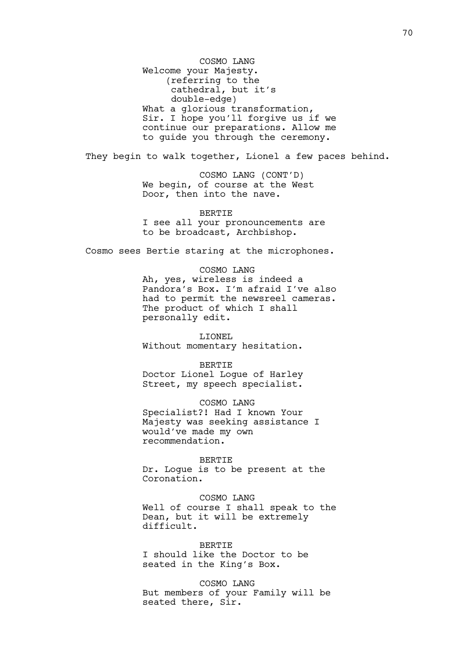COSMO LANG Welcome your Majesty. (referring to the cathedral, but it's double-edge) What a glorious transformation, Sir. I hope you'll forgive us if we continue our preparations. Allow me to guide you through the ceremony.

They begin to walk together, Lionel a few paces behind.

COSMO LANG (CONT'D) We begin, of course at the West Door, then into the nave.

BERTIE I see all your pronouncements are to be broadcast, Archbishop.

Cosmo sees Bertie staring at the microphones.

COSMO LANG Ah, yes, wireless is indeed a Pandora's Box. I'm afraid I've also had to permit the newsreel cameras. The product of which I shall personally edit.

LIONEL Without momentary hesitation.

BERTIE Doctor Lionel Logue of Harley Street, my speech specialist.

COSMO LANG Specialist?! Had I known Your Majesty was seeking assistance I would've made my own recommendation.

BERTIE Dr. Logue is to be present at the Coronation.

COSMO LANG Well of course I shall speak to the Dean, but it will be extremely difficult.

BERTIE I should like the Doctor to be seated in the King's Box.

COSMO LANG But members of your Family will be seated there, Sir.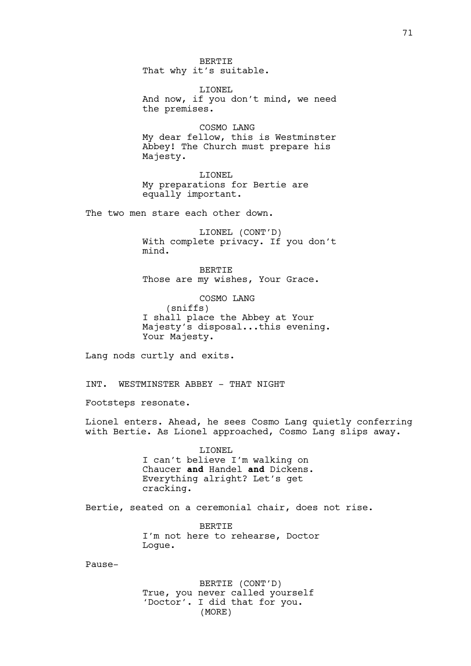BERTIE That why it's suitable.

LIONEL And now, if you don't mind, we need the premises.

COSMO LANG My dear fellow, this is Westminster Abbey! The Church must prepare his Majesty.

LIONEL My preparations for Bertie are equally important.

The two men stare each other down.

LIONEL (CONT'D) With complete privacy. If you don't mind.

BERTIE Those are my wishes, Your Grace.

COSMO LANG (sniffs) I shall place the Abbey at Your Majesty's disposal...this evening. Your Majesty.

Lang nods curtly and exits.

INT. WESTMINSTER ABBEY - THAT NIGHT

Footsteps resonate.

Lionel enters. Ahead, he sees Cosmo Lang quietly conferring with Bertie. As Lionel approached, Cosmo Lang slips away.

> LIONEL I can't believe I'm walking on Chaucer **and** Handel **and** Dickens. Everything alright? Let's get cracking.

Bertie, seated on a ceremonial chair, does not rise.

**BERTIE** I'm not here to rehearse, Doctor Logue.

Pause-

BERTIE (CONT'D) True, you never called yourself 'Doctor'. I did that for you. (MORE)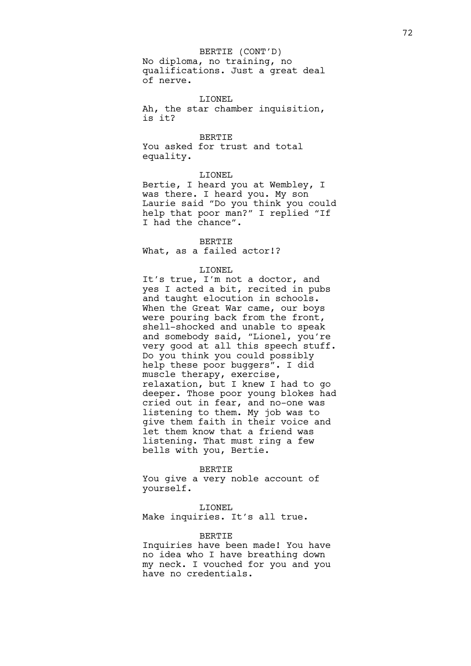BERTIE (CONT'D)

No diploma, no training, no qualifications. Just a great deal of nerve.

LIONEL Ah, the star chamber inquisition, is it?

BERTIE You asked for trust and total equality.

#### LIONEL

Bertie, I heard you at Wembley, I was there. I heard you. My son Laurie said "Do you think you could help that poor man?" I replied "If I had the chance".

#### BERTIE

What, as a failed actor!?

# LIONEL

It's true, I'm not a doctor, and yes I acted a bit, recited in pubs and taught elocution in schools. When the Great War came, our boys were pouring back from the front, shell-shocked and unable to speak and somebody said, "Lionel, you're very good at all this speech stuff. Do you think you could possibly help these poor buggers". I did muscle therapy, exercise, relaxation, but I knew I had to go deeper. Those poor young blokes had cried out in fear, and no-one was listening to them. My job was to give them faith in their voice and let them know that a friend was listening. That must ring a few bells with you, Bertie.

#### BERTIE

You give a very noble account of yourself.

#### LIONEL

Make inquiries. It's all true.

### **BERTIE**

Inquiries have been made! You have no idea who I have breathing down my neck. I vouched for you and you have no credentials.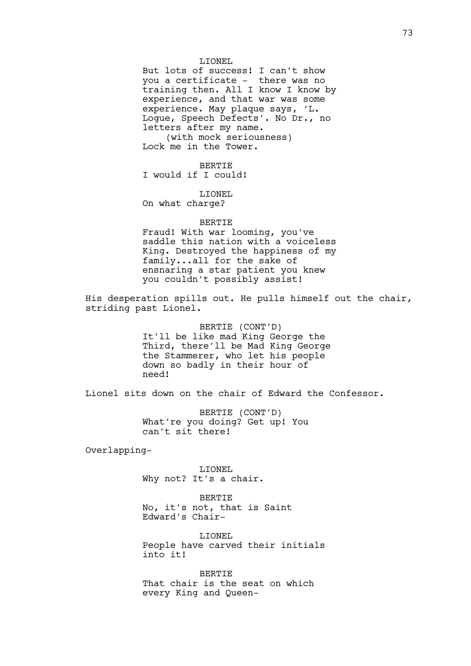LIONEL But lots of success! I can't show you a certificate - there was no training then. All I know I know by experience, and that war was some experience. May plaque says, 'L. Logue, Speech Defects'. No Dr., no letters after my name. (with mock seriousness) Lock me in the Tower.

BERTIE I would if I could!

LIONEL On what charge?

#### BERTIE

Fraud! With war looming, you've saddle this nation with a voiceless King. Destroyed the happiness of my family...all for the sake of ensnaring a star patient you knew you couldn't possibly assist!

His desperation spills out. He pulls himself out the chair, striding past Lionel.

> BERTIE (CONT'D) It'll be like mad King George the Third, there'll be Mad King George the Stammerer, who let his people down so badly in their hour of need!

Lionel sits down on the chair of Edward the Confessor.

BERTIE (CONT'D) What're you doing? Get up! You can't sit there!

Overlapping-

LIONEL Why not? It's a chair.

BERTIE No, it's not, that is Saint Edward's Chair-

LIONEL People have carved their initials into it!

BERTIE That chair is the seat on which every King and Queen-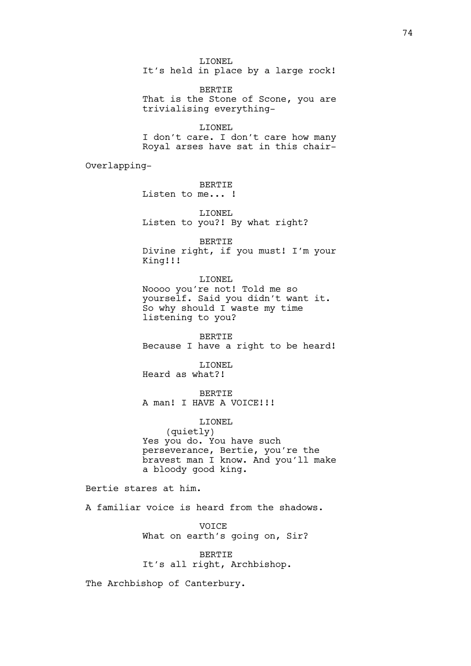LIONEL It's held in place by a large rock!

BERTIE That is the Stone of Scone, you are trivialising everything-

LIONEL I don't care. I don't care how many Royal arses have sat in this chair-

Overlapping-

BERTIE Listen to me... !

# LIONEL Listen to you?! By what right?

BERTIE Divine right, if you must! I'm your King!!!

LIONEL Noooo you're not! Told me so yourself. Said you didn't want it. So why should I waste my time listening to you?

BERTIE Because I have a right to be heard!

LIONEL Heard as what?!

BERTIE A man! I HAVE A VOICE! !!

LIONEL (quietly) Yes you do. You have such perseverance, Bertie, you're the bravest man I know. And you'll make a bloody good king.

Bertie stares at him.

A familiar voice is heard from the shadows.

**VOTCE** What on earth's going on, Sir?

**BERTIE** It's all right, Archbishop.

The Archbishop of Canterbury.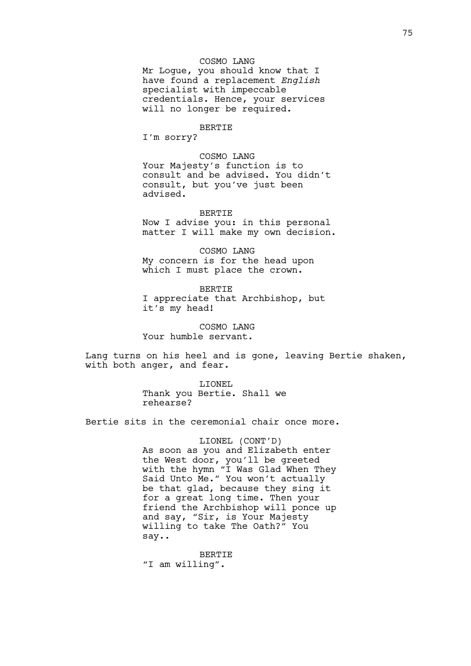# COSMO LANG

Mr Logue, you should know that I have found a replacement *English* specialist with impeccable credentials. Hence, your services will no longer be required.

# BERTIE

I'm sorry?

COSMO LANG Your Majesty's function is to consult and be advised. You didn't consult, but you've just been advised.

BERTIE Now I advise you: in this personal matter I will make my own decision.

COSMO LANG My concern is for the head upon which I must place the crown.

BERTIE I appreciate that Archbishop, but it's my head!

COSMO LANG Your humble servant.

Lang turns on his heel and is gone, leaving Bertie shaken, with both anger, and fear.

> LIONEL Thank you Bertie. Shall we rehearse?

Bertie sits in the ceremonial chair once more.

LIONEL (CONT'D) As soon as you and Elizabeth enter the West door, you'll be greeted with the hymn "I Was Glad When They Said Unto Me." You won't actually be that glad, because they sing it for a great long time. Then your friend the Archbishop will ponce up and say, "Sir, is Your Majesty willing to take The Oath?" You say..

BERTIE "I am willing".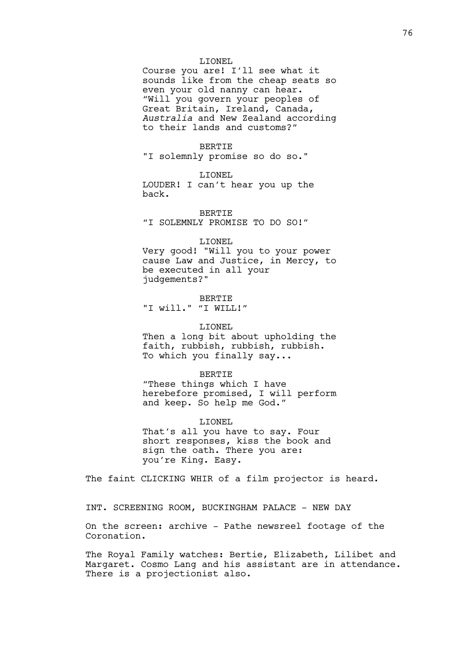#### LIONEL

Course you are! I'll see what it sounds like from the cheap seats so even your old nanny can hear. "Will you govern your peoples of Great Britain, Ireland, Canada, *Australia* and New Zealand according to their lands and customs?"

### BERTIE

"I solemnly promise so do so."

#### LIONEL

LOUDER! I can't hear you up the back.

BERTIE "I SOLEMNLY PROMISE TO DO SO!"

#### LIONEL

Very good! "Will you to your power cause Law and Justice, in Mercy, to be executed in all your judgements?"

BERTIE "I will." "I WILL!"

## LIONEL

Then a long bit about upholding the faith, rubbish, rubbish, rubbish. To which you finally say...

#### BERTIE

"These things which I have herebefore promised, I will perform and keep. So help me God."

LIONEL That's all you have to say. Four short responses, kiss the book and sign the oath. There you are: you're King. Easy.

The faint CLICKING WHIR of a film projector is heard.

INT. SCREENING ROOM, BUCKINGHAM PALACE - NEW DAY

On the screen: archive - Pathe newsreel footage of the Coronation.

The Royal Family watches: Bertie, Elizabeth, Lilibet and Margaret. Cosmo Lang and his assistant are in attendance. There is a projectionist also.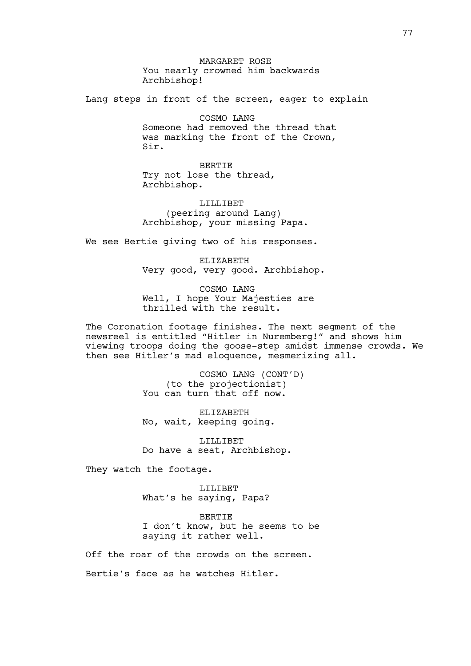MARGARET ROSE You nearly crowned him backwards Archbishop!

Lang steps in front of the screen, eager to explain

COSMO LANG Someone had removed the thread that was marking the front of the Crown, Sir.

BERTIE Try not lose the thread, Archbishop.

LILLIBET (peering around Lang) Archbishop, your missing Papa.

We see Bertie giving two of his responses.

ELIZABETH Very good, very good. Archbishop.

COSMO LANG Well, I hope Your Majesties are thrilled with the result.

The Coronation footage finishes. The next segment of the newsreel is entitled "Hitler in Nuremberg!" and shows him viewing troops doing the goose-step amidst immense crowds. We then see Hitler's mad eloquence, mesmerizing all.

> COSMO LANG (CONT'D) (to the projectionist) You can turn that off now.

ELIZABETH No, wait, keeping going.

LILLIBET Do have a seat, Archbishop.

They watch the footage.

LILIBET What's he saying, Papa?

BERTIE I don't know, but he seems to be saying it rather well.

Off the roar of the crowds on the screen.

Bertie's face as he watches Hitler.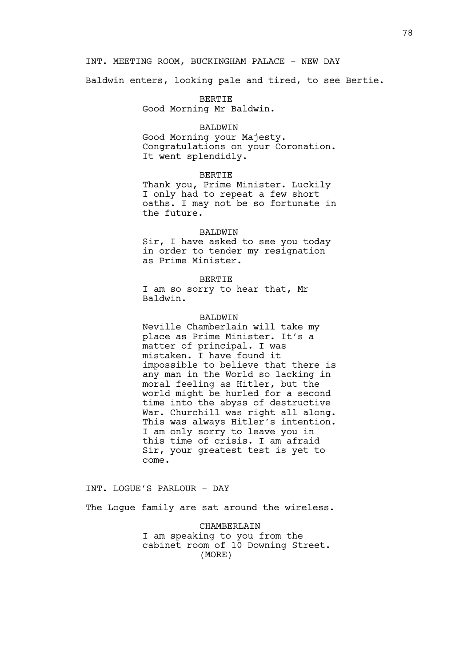# INT. MEETING ROOM, BUCKINGHAM PALACE - NEW DAY

Baldwin enters, looking pale and tired, to see Bertie.

BERTIE Good Morning Mr Baldwin.

### BALDWIN

Good Morning your Majesty. Congratulations on your Coronation. It went splendidly.

### BERTIE

Thank you, Prime Minister. Luckily I only had to repeat a few short oaths. I may not be so fortunate in the future.

#### BALDWIN

Sir, I have asked to see you today in order to tender my resignation as Prime Minister.

BERTIE I am so sorry to hear that, Mr Baldwin.

# BALDWIN

Neville Chamberlain will take my place as Prime Minister. It's a matter of principal. I was mistaken. I have found it impossible to believe that there is any man in the World so lacking in moral feeling as Hitler, but the world might be hurled for a second time into the abyss of destructive War. Churchill was right all along. This was always Hitler's intention. I am only sorry to leave you in this time of crisis. I am afraid Sir, your greatest test is yet to come.

INT. LOGUE'S PARLOUR - DAY

The Loque family are sat around the wireless.

CHAMBERLAIN I am speaking to you from the cabinet room of 10 Downing Street. (MORE)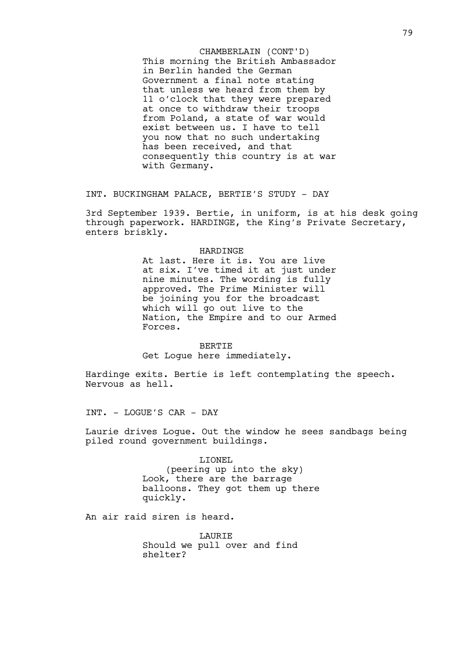This morning the British Ambassador in Berlin handed the German Government a final note stating that unless we heard from them by 11 o'clock that they were prepared at once to withdraw their troops from Poland, a state of war would exist between us. I have to tell you now that no such undertaking has been received, and that consequently this country is at war with Germany. CHAMBERLAIN (CONT'D)

INT. BUCKINGHAM PALACE, BERTIE'S STUDY - DAY

3rd September 1939. Bertie, in uniform, is at his desk going through paperwork. HARDINGE, the King's Private Secretary, enters briskly.

## HARDINGE

At last. Here it is. You are live at six. I've timed it at just under nine minutes. The wording is fully approved. The Prime Minister will be joining you for the broadcast which will go out live to the Nation, the Empire and to our Armed Forces.

BERTIE Get Logue here immediately.

Hardinge exits. Bertie is left contemplating the speech. Nervous as hell.

INT. - LOGUE'S CAR - DAY

Laurie drives Logue. Out the window he sees sandbags being piled round government buildings.

> LIONEL (peering up into the sky) Look, there are the barrage balloons. They got them up there quickly.

An air raid siren is heard.

**LAURIE** Should we pull over and find shelter?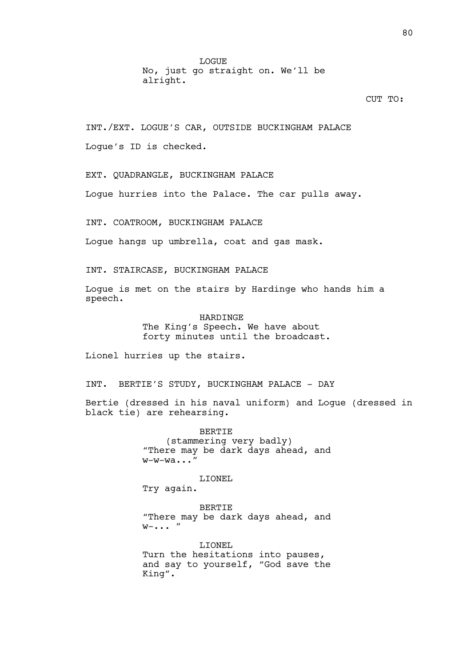LOGUE No, just go straight on. We'll be alright.

# CUT TO:

INT./EXT. LOGUE'S CAR, OUTSIDE BUCKINGHAM PALACE Logue's ID is checked.

EXT. QUADRANGLE, BUCKINGHAM PALACE

Logue hurries into the Palace. The car pulls away.

INT. COATROOM, BUCKINGHAM PALACE

Logue hangs up umbrella, coat and gas mask.

INT. STAIRCASE, BUCKINGHAM PALACE

Logue is met on the stairs by Hardinge who hands him a speech.

> HARDINGE The King's Speech. We have about forty minutes until the broadcast.

Lionel hurries up the stairs.

INT. BERTIE'S STUDY, BUCKINGHAM PALACE - DAY

Bertie (dressed in his naval uniform) and Logue (dressed in black tie) are rehearsing.

> BERTIE (stammering very badly) "There may be dark days ahead, and w-w-wa..."

> > LIONEL

Try again.

**BERTIE** "There may be dark days ahead, and  $W - \cdot \cdot \cdot$  "

LIONEL Turn the hesitations into pauses, and say to yourself, "God save the King".

80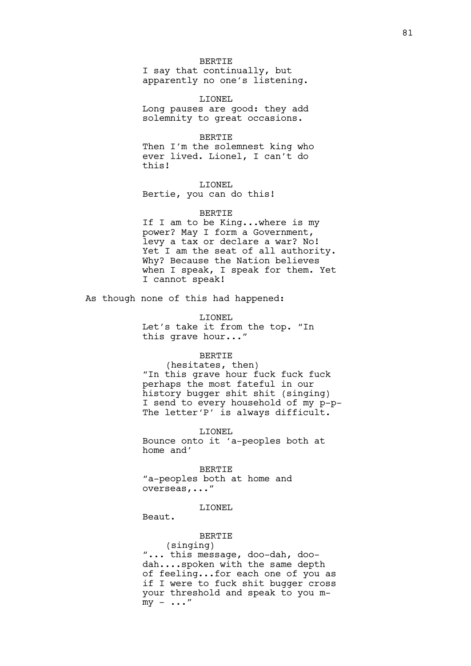#### BERTIE

I say that continually, but apparently no one's listening.

LIONEL Long pauses are good: they add solemnity to great occasions.

### BERTIE

Then I'm the solemnest king who ever lived. Lionel, I can't do this!

LIONEL Bertie, you can do this!

## BERTIE

If I am to be King...where is my power? May I form a Government, levy a tax or declare a war? No! Yet I am the seat of all authority. Why? Because the Nation believes when I speak, I speak for them. Yet I cannot speak!

As though none of this had happened:

LIONEL

Let's take it from the top. "In this grave hour..."

## BERTIE

(hesitates, then) "In this grave hour fuck fuck fuck perhaps the most fateful in our history bugger shit shit (singing) I send to every household of my p-p-The letter'P' is always difficult.

## LIONEL

Bounce onto it 'a-peoples both at home and'

BERTIE "a-peoples both at home and overseas,..."

## LIONEL

Beaut.

# **BERTIE**

(singing) "... this message, doo-dah, doodah....spoken with the same depth of feeling...for each one of you as if I were to fuck shit bugger cross your threshold and speak to you m $my - \ldots''$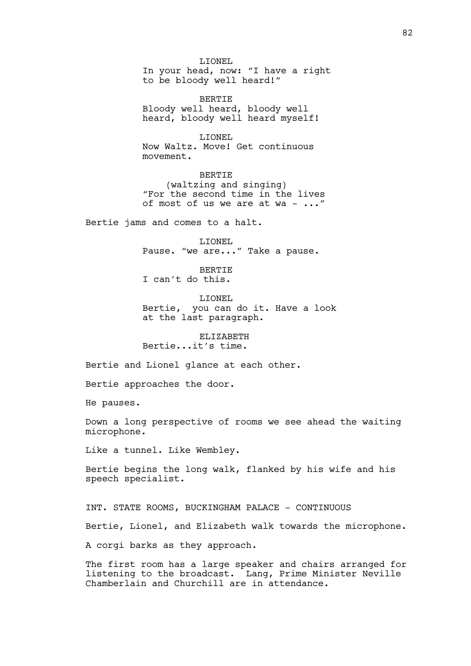LIONEL In your head, now: "I have a right to be bloody well heard!"

BERTIE Bloody well heard, bloody well heard, bloody well heard myself!

LIONEL Now Waltz. Move! Get continuous movement.

BERTIE (waltzing and singing) "For the second time in the lives of most of us we are at wa - ..."

Bertie jams and comes to a halt.

LIONEL Pause. "we are..." Take a pause.

BERTIE I can't do this.

LIONEL Bertie, you can do it. Have a look at the last paragraph.

ELIZABETH Bertie...it's time.

Bertie and Lionel glance at each other.

Bertie approaches the door.

He pauses.

Down a long perspective of rooms we see ahead the waiting microphone.

Like a tunnel. Like Wembley.

Bertie begins the long walk, flanked by his wife and his speech specialist.

INT. STATE ROOMS, BUCKINGHAM PALACE - CONTINUOUS Bertie, Lionel, and Elizabeth walk towards the microphone. A corgi barks as they approach.

The first room has a large speaker and chairs arranged for listening to the broadcast. Lang, Prime Minister Neville Chamberlain and Churchill are in attendance.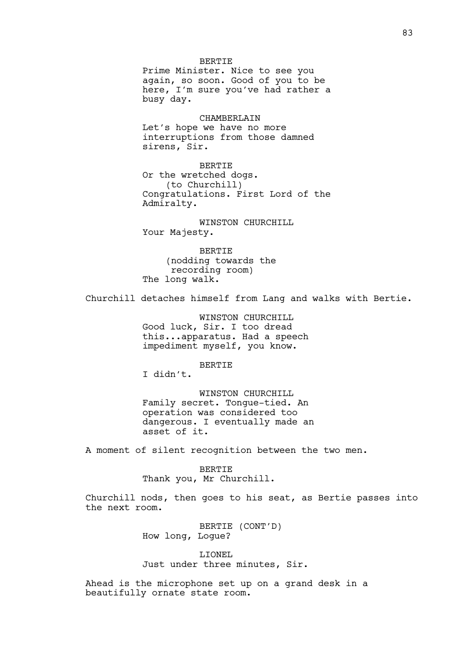BERTIE Prime Minister. Nice to see you again, so soon. Good of you to be here, I'm sure you've had rather a busy day.

CHAMBERLAIN Let's hope we have no more interruptions from those damned sirens, Sir.

BERTIE Or the wretched dogs. (to Churchill) Congratulations. First Lord of the Admiralty.

WINSTON CHURCHILL Your Majesty.

BERTIE (nodding towards the recording room) The long walk.

Churchill detaches himself from Lang and walks with Bertie.

WINSTON CHURCHILL Good luck, Sir. I too dread this...apparatus. Had a speech impediment myself, you know.

BERTIE

I didn't.

WINSTON CHURCHILL Family secret. Tongue-tied. An operation was considered too dangerous. I eventually made an asset of it.

A moment of silent recognition between the two men.

BERTIE Thank you, Mr Churchill.

Churchill nods, then goes to his seat, as Bertie passes into the next room.

> BERTIE (CONT'D) How long, Logue?

LIONEL Just under three minutes, Sir.

Ahead is the microphone set up on a grand desk in a beautifully ornate state room.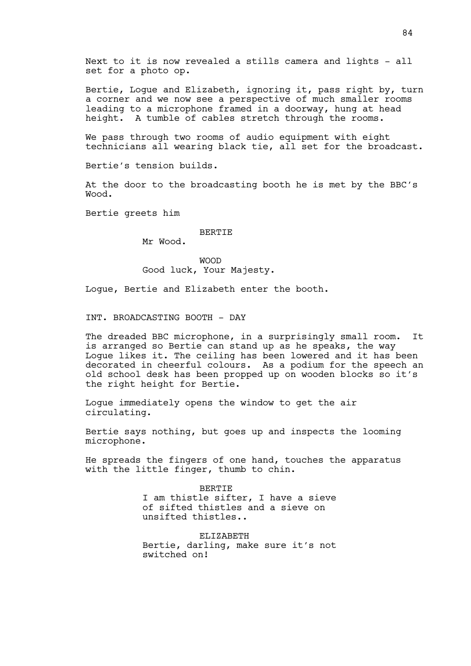Next to it is now revealed a stills camera and lights - all set for a photo op.

Bertie, Logue and Elizabeth, ignoring it, pass right by, turn a corner and we now see a perspective of much smaller rooms leading to a microphone framed in a doorway, hung at head height. A tumble of cables stretch through the rooms.

We pass through two rooms of audio equipment with eight technicians all wearing black tie, all set for the broadcast.

Bertie's tension builds.

At the door to the broadcasting booth he is met by the BBC's Wood.

Bertie greets him

## **BERTIE**

Mr Wood.

WOOD Good luck, Your Majesty.

Logue, Bertie and Elizabeth enter the booth.

INT. BROADCASTING BOOTH - DAY

The dreaded BBC microphone, in a surprisingly small room. It is arranged so Bertie can stand up as he speaks, the way Logue likes it. The ceiling has been lowered and it has been decorated in cheerful colours. As a podium for the speech an old school desk has been propped up on wooden blocks so it's the right height for Bertie.

Logue immediately opens the window to get the air circulating.

Bertie says nothing, but goes up and inspects the looming microphone.

He spreads the fingers of one hand, touches the apparatus with the little finger, thumb to chin.

> BERTIE I am thistle sifter, I have a sieve of sifted thistles and a sieve on unsifted thistles..

> ELIZABETH Bertie, darling, make sure it's not switched on!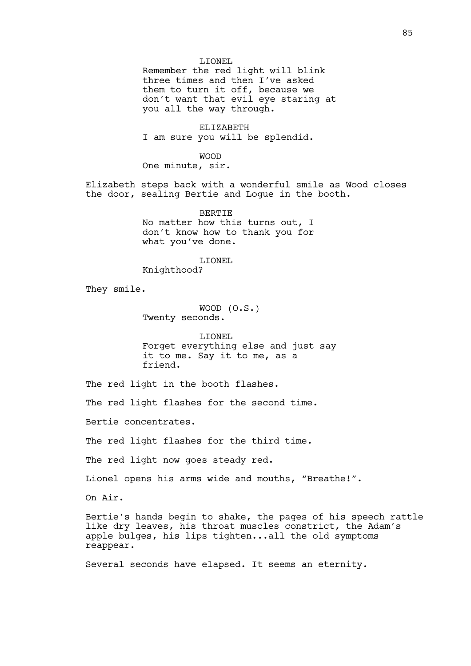## LIONEL

Remember the red light will blink three times and then I've asked them to turn it off, because we don't want that evil eye staring at you all the way through.

ELIZABETH I am sure you will be splendid.

WOOD

One minute, sir.

Elizabeth steps back with a wonderful smile as Wood closes the door, sealing Bertie and Logue in the booth.

> BERTIE No matter how this turns out, I don't know how to thank you for what you've done.

> > LIONEL

Knighthood?

They smile.

WOOD (O.S.) Twenty seconds.

LIONEL Forget everything else and just say it to me. Say it to me, as a friend.

The red light in the booth flashes.

The red light flashes for the second time.

Bertie concentrates.

The red light flashes for the third time.

The red light now goes steady red.

Lionel opens his arms wide and mouths, "Breathe!".

On Air.

Bertie's hands begin to shake, the pages of his speech rattle like dry leaves, his throat muscles constrict, the Adam's apple bulges, his lips tighten...all the old symptoms reappear.

Several seconds have elapsed. It seems an eternity.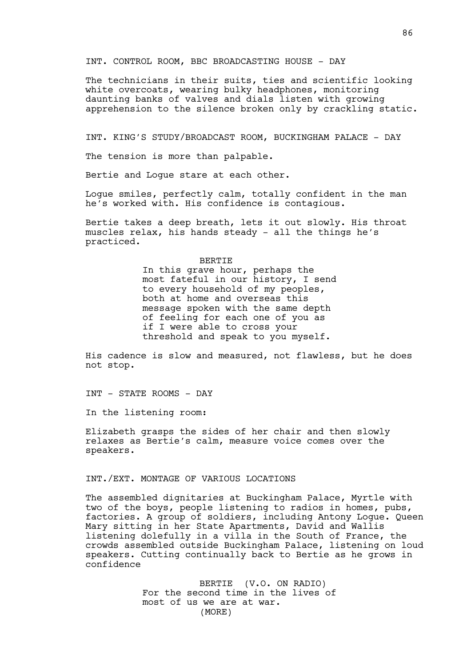INT. CONTROL ROOM, BBC BROADCASTING HOUSE - DAY

The technicians in their suits, ties and scientific looking white overcoats, wearing bulky headphones, monitoring daunting banks of valves and dials listen with growing apprehension to the silence broken only by crackling static.

INT. KING'S STUDY/BROADCAST ROOM, BUCKINGHAM PALACE - DAY

The tension is more than palpable.

Bertie and Logue stare at each other.

Logue smiles, perfectly calm, totally confident in the man he's worked with. His confidence is contagious.

Bertie takes a deep breath, lets it out slowly. His throat muscles relax, his hands steady - all the things he's practiced.

#### BERTIE

In this grave hour, perhaps the most fateful in our history, I send to every household of my peoples, both at home and overseas this message spoken with the same depth of feeling for each one of you as if I were able to cross your threshold and speak to you myself.

His cadence is slow and measured, not flawless, but he does not stop.

INT - STATE ROOMS - DAY

In the listening room:

Elizabeth grasps the sides of her chair and then slowly relaxes as Bertie's calm, measure voice comes over the speakers.

### INT./EXT. MONTAGE OF VARIOUS LOCATIONS

The assembled dignitaries at Buckingham Palace, Myrtle with two of the boys, people listening to radios in homes, pubs, factories. A group of soldiers, including Antony Logue. Queen Mary sitting in her State Apartments, David and Wallis listening dolefully in a villa in the South of France, the crowds assembled outside Buckingham Palace, listening on loud speakers. Cutting continually back to Bertie as he grows in confidence

> BERTIE (V.O. ON RADIO) For the second time in the lives of most of us we are at war. (MORE)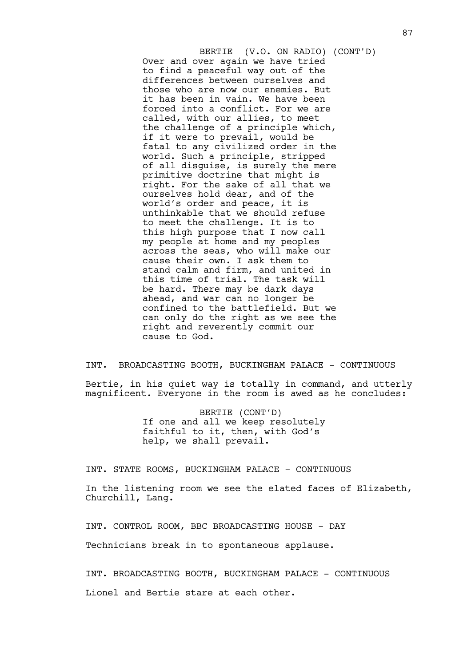Over and over again we have tried to find a peaceful way out of the differences between ourselves and those who are now our enemies. But it has been in vain. We have been forced into a conflict. For we are called, with our allies, to meet the challenge of a principle which, if it were to prevail, would be fatal to any civilized order in the world. Such a principle, stripped of all disguise, is surely the mere primitive doctrine that might is right. For the sake of all that we ourselves hold dear, and of the world's order and peace, it is unthinkable that we should refuse to meet the challenge. It is to this high purpose that I now call my people at home and my peoples across the seas, who will make our cause their own. I ask them to stand calm and firm, and united in this time of trial. The task will be hard. There may be dark days ahead, and war can no longer be confined to the battlefield. But we can only do the right as we see the right and reverently commit our cause to God. BERTIE (V.O. ON RADIO) (CONT'D)

INT. BROADCASTING BOOTH, BUCKINGHAM PALACE - CONTINUOUS Bertie, in his quiet way is totally in command, and utterly magnificent. Everyone in the room is awed as he concludes:

> BERTIE (CONT'D) If one and all we keep resolutely faithful to it, then, with God's help, we shall prevail.

INT. STATE ROOMS, BUCKINGHAM PALACE - CONTINUOUS

In the listening room we see the elated faces of Elizabeth, Churchill, Lang.

INT. CONTROL ROOM, BBC BROADCASTING HOUSE - DAY

Technicians break in to spontaneous applause.

INT. BROADCASTING BOOTH, BUCKINGHAM PALACE - CONTINUOUS Lionel and Bertie stare at each other.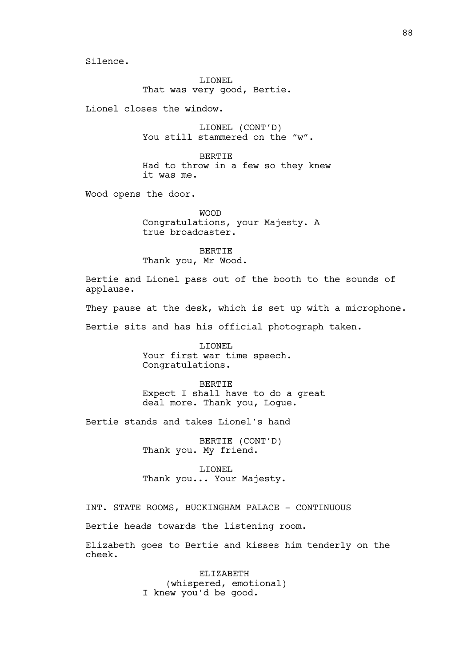Silence.

LIONEL That was very good, Bertie.

Lionel closes the window.

LIONEL (CONT'D) You still stammered on the "w".

BERTIE Had to throw in a few so they knew it was me.

Wood opens the door.

WOOD Congratulations, your Majesty. A true broadcaster.

BERTIE Thank you, Mr Wood.

Bertie and Lionel pass out of the booth to the sounds of applause.

They pause at the desk, which is set up with a microphone.

Bertie sits and has his official photograph taken.

LIONEL Your first war time speech. Congratulations.

BERTIE Expect I shall have to do a great deal more. Thank you, Logue.

Bertie stands and takes Lionel's hand

BERTIE (CONT'D) Thank you. My friend.

LIONEL Thank you... Your Majesty.

INT. STATE ROOMS, BUCKINGHAM PALACE - CONTINUOUS

Bertie heads towards the listening room.

Elizabeth goes to Bertie and kisses him tenderly on the cheek.

> ELIZABETH (whispered, emotional) I knew you'd be good.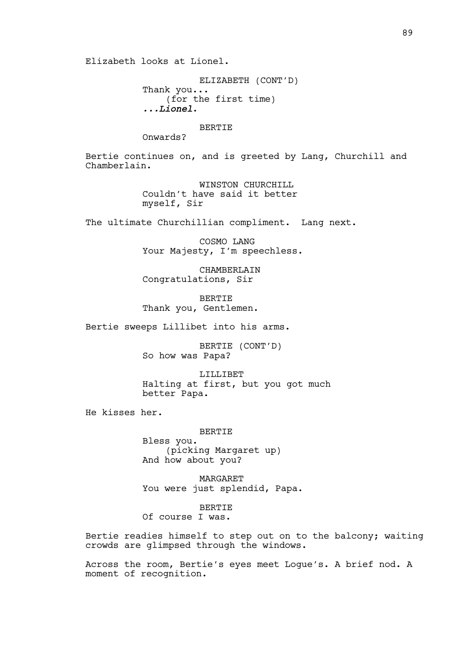Elizabeth looks at Lionel.

ELIZABETH (CONT'D) Thank you... (for the first time) *...Lionel*.

**BERTIE** 

Onwards?

Bertie continues on, and is greeted by Lang, Churchill and Chamberlain.

> WINSTON CHURCHILL Couldn't have said it better myself, Sir

The ultimate Churchillian compliment. Lang next.

COSMO LANG Your Majesty, I'm speechless.

CHAMBERLAIN Congratulations, Sir

BERTIE Thank you, Gentlemen.

Bertie sweeps Lillibet into his arms.

BERTIE (CONT'D) So how was Papa?

LILLIBET Halting at first, but you got much better Papa.

He kisses her.

BERTIE Bless you. (picking Margaret up) And how about you?

MARGARET You were just splendid, Papa.

BERTIE Of course I was.

Bertie readies himself to step out on to the balcony; waiting crowds are glimpsed through the windows.

Across the room, Bertie's eyes meet Logue's. A brief nod. A moment of recognition.